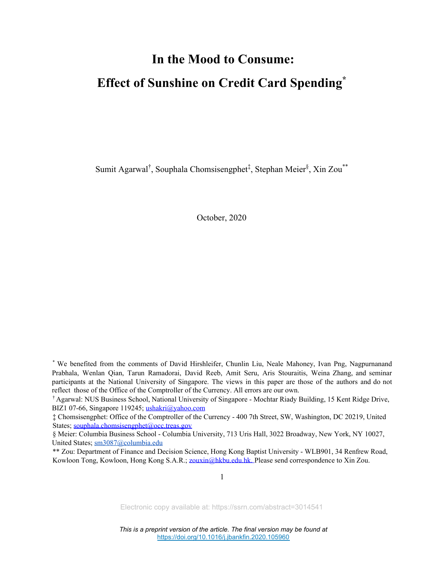# **In the Mood to Consume: Effect of Sunshine on Credit Card Spending\***

Sumit Agarwal<sup>†</sup>, Souphala Chomsisengphet<sup>‡</sup>, Stephan Meier<sup>§</sup>, Xin Zou<sup>\*\*</sup>

October, 2020

\* We benefited from the comments of David Hirshleifer, Chunlin Liu, Neale Mahoney, Ivan Png, Nagpurnanand Prabhala, Wenlan Qian, Tarun Ramadorai, David Reeb, Amit Seru, Aris Stouraitis, Weina Zhang, and seminar participants at the National University of Singapore. The views in this paper are those of the authors and do not reflect those of the Office of the Comptroller of the Currency. All errors are our own.

Electronic copy available at: https://ssrn.com/abstract=3014541

<sup>†</sup> Agarwal: NUS Business School, National University of Singapore - Mochtar Riady Building, 15 Kent Ridge Drive, BIZ1 07-66, Singapore 119245; ushakri@yahoo.com

<sup>‡</sup> Chomsisengphet: Office of the Comptroller of the Currency - 400 7th Street, SW, Washington, DC 20219, United States; souphala.chomsisengphet@occ.treas.gov

<sup>§</sup> Meier: Columbia Business School - Columbia University, 713 Uris Hall, 3022 Broadway, New York, NY 10027, United States; sm3087@columbia.edu

<sup>\*\*</sup> Zou: Department of Finance and Decision Science, Hong Kong Baptist University - WLB901, 34 Renfrew Road, Kowloon Tong, Kowloon, Hong Kong S.A.R.; zouxin@hkbu.edu.hk. Please send correspondence to Xin Zou.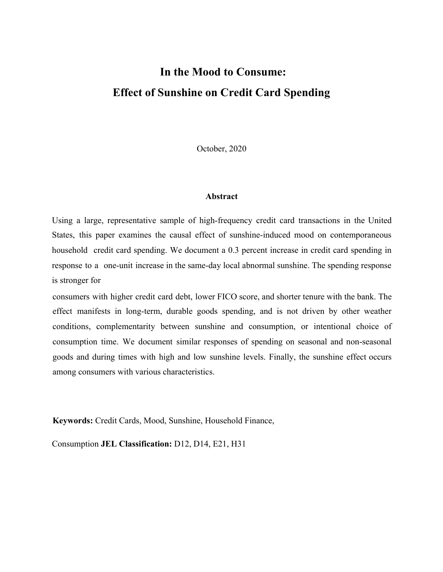# **In the Mood to Consume: Effect of Sunshine on Credit Card Spending**

October, 2020

## **Abstract**

Using a large, representative sample of high-frequency credit card transactions in the United States, this paper examines the causal effect of sunshine-induced mood on contemporaneous household credit card spending. We document a 0.3 percent increase in credit card spending in response to a one-unit increase in the same-day local abnormal sunshine. The spending response is stronger for

consumers with higher credit card debt, lower FICO score, and shorter tenure with the bank. The effect manifests in long-term, durable goods spending, and is not driven by other weather conditions, complementarity between sunshine and consumption, or intentional choice of consumption time. We document similar responses of spending on seasonal and non-seasonal goods and during times with high and low sunshine levels. Finally, the sunshine effect occurs among consumers with various characteristics.

**Keywords:** Credit Cards, Mood, Sunshine, Household Finance,

Consumption **JEL Classification:** D12, D14, E21, H31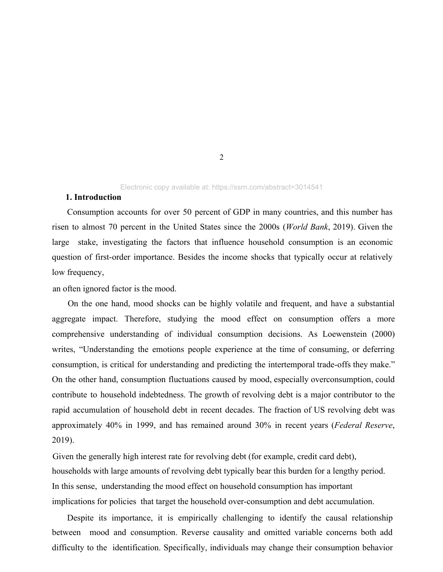## Electronic copy available at: https://ssrn.com/abstract=3014541

#### **1. Introduction**

Consumption accounts for over 50 percent of GDP in many countries, and this number has risen to almost 70 percent in the United States since the 2000s (*World Bank*, 2019). Given the large stake, investigating the factors that influence household consumption is an economic question of first-order importance. Besides the income shocks that typically occur at relatively low frequency,

an often ignored factor is the mood.

On the one hand, mood shocks can be highly volatile and frequent, and have a substantial aggregate impact. Therefore, studying the mood effect on consumption offers a more comprehensive understanding of individual consumption decisions. As Loewenstein (2000) writes, "Understanding the emotions people experience at the time of consuming, or deferring consumption, is critical for understanding and predicting the intertemporal trade-offs they make." On the other hand, consumption fluctuations caused by mood, especially overconsumption, could contribute to household indebtedness. The growth of revolving debt is a major contributor to the rapid accumulation of household debt in recent decades. The fraction of US revolving debt was approximately 40% in 1999, and has remained around 30% in recent years (*Federal Reserve*, 2019).

Given the generally high interest rate for revolving debt (for example, credit card debt), households with large amounts of revolving debt typically bear this burden for a lengthy period. In this sense, understanding the mood effect on household consumption has important implications for policies that target the household over-consumption and debt accumulation.

Despite its importance, it is empirically challenging to identify the causal relationship between mood and consumption. Reverse causality and omitted variable concerns both add difficulty to the identification. Specifically, individuals may change their consumption behavior

2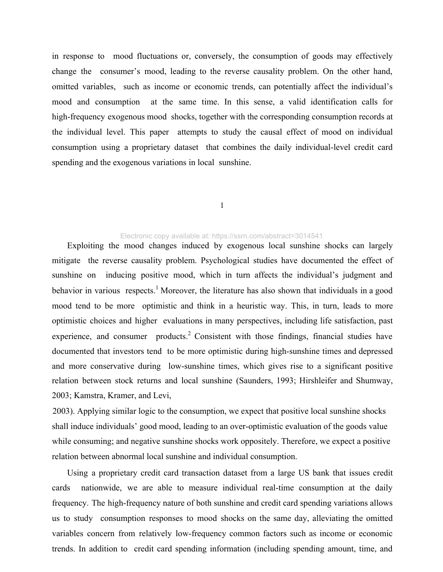in response to mood fluctuations or, conversely, the consumption of goods may effectively change the consumer's mood, leading to the reverse causality problem. On the other hand, omitted variables, such as income or economic trends, can potentially affect the individual's mood and consumption at the same time. In this sense, a valid identification calls for high-frequency exogenous mood shocks, together with the corresponding consumption records at the individual level. This paper attempts to study the causal effect of mood on individual consumption using a proprietary dataset that combines the daily individual-level credit card spending and the exogenous variations in local sunshine.

1

## Electronic copy available at: https://ssrn.com/abstract=3014541

Exploiting the mood changes induced by exogenous local sunshine shocks can largely mitigate the reverse causality problem. Psychological studies have documented the effect of sunshine on inducing positive mood, which in turn affects the individual's judgment and behavior in various respects.<sup>1</sup> Moreover, the literature has also shown that individuals in a good mood tend to be more optimistic and think in a heuristic way. This, in turn, leads to more optimistic choices and higher evaluations in many perspectives, including life satisfaction, past experience, and consumer products.<sup>2</sup> Consistent with those findings, financial studies have documented that investors tend to be more optimistic during high-sunshine times and depressed and more conservative during low-sunshine times, which gives rise to a significant positive relation between stock returns and local sunshine (Saunders, 1993; Hirshleifer and Shumway, 2003; Kamstra, Kramer, and Levi,

2003). Applying similar logic to the consumption, we expect that positive local sunshine shocks shall induce individuals' good mood, leading to an over-optimistic evaluation of the goods value while consuming; and negative sunshine shocks work oppositely. Therefore, we expect a positive relation between abnormal local sunshine and individual consumption.

Using a proprietary credit card transaction dataset from a large US bank that issues credit cards nationwide, we are able to measure individual real-time consumption at the daily frequency. The high-frequency nature of both sunshine and credit card spending variations allows us to study consumption responses to mood shocks on the same day, alleviating the omitted variables concern from relatively low-frequency common factors such as income or economic trends. In addition to credit card spending information (including spending amount, time, and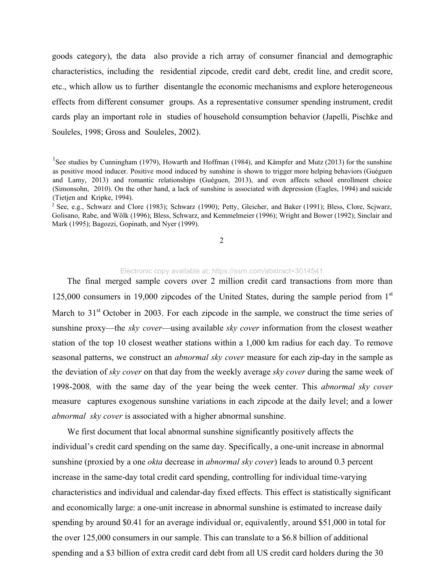goods category), the data also provide a rich array of consumer financial and demographic characteristics, including the residential zipcode, credit card debt, credit line, and credit score, etc., which allow us to further disentangle the economic mechanisms and explore heterogeneous effects from different consumer groups. As a representative consumer spending instrument, credit cards play an important role in studies of household consumption behavior (Japelli, Pischke and Souleles, 1998; Gross and Souleles, 2002).

<sup>1</sup>See studies by Cunningham (1979), Howarth and Hoffman (1984), and Kämpfer and Mutz (2013) for the sunshine as positive mood inducer. Positive mood induced by sunshine is shown to trigger more helping behaviors (Guéguen and Lamy, 2013) and romantic relationships (Guéguen, 2013), and even affects school enrollment choice (Simonsohn, 2010). On the other hand, a lack of sunshine is associated with depression (Eagles, 1994) and suicide (Tietjen and Kripke, 1994).

<sup>2</sup> See, e.g., Schwarz and Clore (1983); Schwarz (1990); Petty, Gleicher, and Baker (1991); Bless, Clore, Scjwarz, Golisano, Rabe, and Wölk (1996); Bless, Schwarz, and Kemmelmeier (1996); Wright and Bower (1992); Sinclair and Mark (1995); Bagozzi, Gopinath, and Nyer (1999).

2

#### Electronic copy available at: https://ssrn.com/abstract=3014541

The final merged sample covers over 2 million credit card transactions from more than 125,000 consumers in 19,000 zipcodes of the United States, during the sample period from  $1<sup>st</sup>$ March to 31<sup>st</sup> October in 2003. For each zipcode in the sample, we construct the time series of sunshine proxy—the *sky cover*—using available *sky cover* information from the closest weather station of the top 10 closest weather stations within a 1,000 km radius for each day. To remove seasonal patterns, we construct an *abnormal sky cover* measure for each zip-day in the sample as the deviation of *sky cover* on that day from the weekly average *sky cover* during the same week of 1998-2008*,* with the same day of the year being the week center. This *abnormal sky cover* measure captures exogenous sunshine variations in each zipcode at the daily level; and a lower *abnormal sky cover* is associated with a higher abnormal sunshine.

We first document that local abnormal sunshine significantly positively affects the individual's credit card spending on the same day. Specifically, a one-unit increase in abnormal sunshine (proxied by a one *okta* decrease in *abnormal sky cover*) leads to around 0.3 percent increase in the same-day total credit card spending, controlling for individual time-varying characteristics and individual and calendar-day fixed effects. This effect is statistically significant and economically large: a one-unit increase in abnormal sunshine is estimated to increase daily spending by around \$0.41 for an average individual or, equivalently, around \$51,000 in total for the over 125,000 consumers in our sample. This can translate to a \$6.8 billion of additional spending and a \$3 billion of extra credit card debt from all US credit card holders during the 30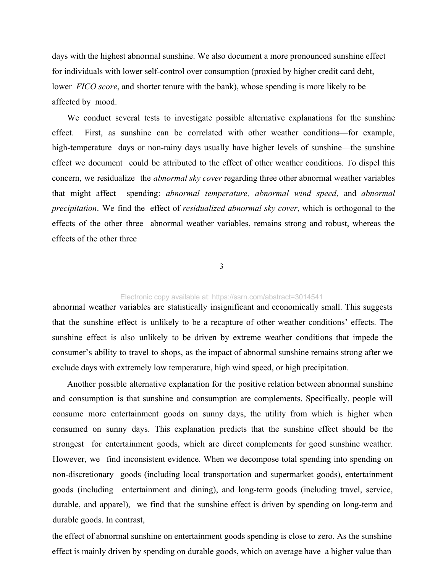days with the highest abnormal sunshine. We also document a more pronounced sunshine effect for individuals with lower self-control over consumption (proxied by higher credit card debt, lower *FICO score*, and shorter tenure with the bank), whose spending is more likely to be affected by mood.

We conduct several tests to investigate possible alternative explanations for the sunshine effect. First, as sunshine can be correlated with other weather conditions—for example, high-temperature days or non-rainy days usually have higher levels of sunshine—the sunshine effect we document could be attributed to the effect of other weather conditions. To dispel this concern, we residualize the *abnormal sky cover* regarding three other abnormal weather variables that might affect spending: *abnormal temperature, abnormal wind speed*, and *abnormal precipitation*. We find the effect of *residualized abnormal sky cover*, which is orthogonal to the effects of the other three abnormal weather variables, remains strong and robust, whereas the effects of the other three

3

#### Electronic copy available at: https://ssrn.com/abstract=3014541

abnormal weather variables are statistically insignificant and economically small. This suggests that the sunshine effect is unlikely to be a recapture of other weather conditions' effects. The sunshine effect is also unlikely to be driven by extreme weather conditions that impede the consumer's ability to travel to shops, as the impact of abnormal sunshine remains strong after we exclude days with extremely low temperature, high wind speed, or high precipitation.

Another possible alternative explanation for the positive relation between abnormal sunshine and consumption is that sunshine and consumption are complements. Specifically, people will consume more entertainment goods on sunny days, the utility from which is higher when consumed on sunny days. This explanation predicts that the sunshine effect should be the strongest for entertainment goods, which are direct complements for good sunshine weather. However, we find inconsistent evidence. When we decompose total spending into spending on non-discretionary goods (including local transportation and supermarket goods), entertainment goods (including entertainment and dining), and long-term goods (including travel, service, durable, and apparel), we find that the sunshine effect is driven by spending on long-term and durable goods. In contrast,

the effect of abnormal sunshine on entertainment goods spending is close to zero. As the sunshine effect is mainly driven by spending on durable goods, which on average have a higher value than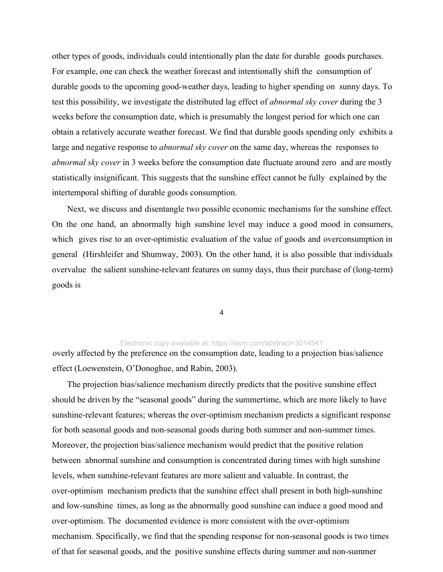other types of goods, individuals could intentionally plan the date for durable goods purchases. For example, one can check the weather forecast and intentionally shift the consumption of durable goods to the upcoming good-weather days, leading to higher spending on sunny days. To test this possibility, we investigate the distributed lag effect of *abnormal sky cover* during the 3 weeks before the consumption date, which is presumably the longest period for which one can obtain a relatively accurate weather forecast. We find that durable goods spending only exhibits a large and negative response to *abnormal sky cover* on the same day, whereas the responses to *abnormal sky cover* in 3 weeks before the consumption date fluctuate around zero and are mostly statistically insignificant. This suggests that the sunshine effect cannot be fully explained by the intertemporal shifting of durable goods consumption.

Next, we discuss and disentangle two possible economic mechanisms for the sunshine effect. On the one hand, an abnormally high sunshine level may induce a good mood in consumers, which gives rise to an over-optimistic evaluation of the value of goods and overconsumption in general (Hirshleifer and Shumway, 2003). On the other hand, it is also possible that individuals overvalue the salient sunshine-relevant features on sunny days, thus their purchase of (long-term) goods is

4

## Electronic copy available at: https://ssrn.com/abstract=3014541

overly affected by the preference on the consumption date, leading to a projection bias/salience effect (Loewenstein, O'Donoghue, and Rabin, 2003).

The projection bias/salience mechanism directly predicts that the positive sunshine effect should be driven by the "seasonal goods" during the summertime, which are more likely to have sunshine-relevant features; whereas the over-optimism mechanism predicts a significant response for both seasonal goods and non-seasonal goods during both summer and non-summer times. Moreover, the projection bias/salience mechanism would predict that the positive relation between abnormal sunshine and consumption is concentrated during times with high sunshine levels, when sunshine-relevant features are more salient and valuable. In contrast, the over-optimism mechanism predicts that the sunshine effect shall present in both high-sunshine and low-sunshine times, as long as the abnormally good sunshine can induce a good mood and over-optimism. The documented evidence is more consistent with the over-optimism mechanism. Specifically, we find that the spending response for non-seasonal goods is two times of that for seasonal goods, and the positive sunshine effects during summer and non-summer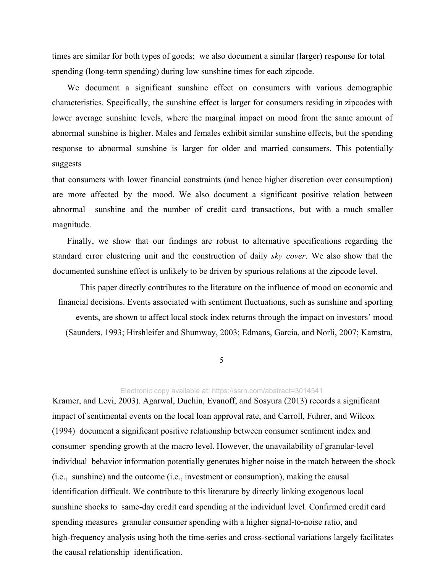times are similar for both types of goods; we also document a similar (larger) response for total spending (long-term spending) during low sunshine times for each zipcode.

We document a significant sunshine effect on consumers with various demographic characteristics. Specifically, the sunshine effect is larger for consumers residing in zipcodes with lower average sunshine levels, where the marginal impact on mood from the same amount of abnormal sunshine is higher. Males and females exhibit similar sunshine effects, but the spending response to abnormal sunshine is larger for older and married consumers. This potentially suggests

that consumers with lower financial constraints (and hence higher discretion over consumption) are more affected by the mood. We also document a significant positive relation between abnormal sunshine and the number of credit card transactions, but with a much smaller magnitude.

Finally, we show that our findings are robust to alternative specifications regarding the standard error clustering unit and the construction of daily *sky cover*. We also show that the documented sunshine effect is unlikely to be driven by spurious relations at the zipcode level.

This paper directly contributes to the literature on the influence of mood on economic and financial decisions. Events associated with sentiment fluctuations, such as sunshine and sporting events, are shown to affect local stock index returns through the impact on investors' mood (Saunders, 1993; Hirshleifer and Shumway, 2003; Edmans, Garcia, and Norli, 2007; Kamstra,

5

#### Electronic copy available at: https://ssrn.com/abstract=3014541

Kramer, and Levi, 2003). Agarwal, Duchin, Evanoff, and Sosyura (2013) records a significant impact of sentimental events on the local loan approval rate, and Carroll, Fuhrer, and Wilcox (1994) document a significant positive relationship between consumer sentiment index and consumer spending growth at the macro level. However, the unavailability of granular-level individual behavior information potentially generates higher noise in the match between the shock (i.e., sunshine) and the outcome (i.e., investment or consumption), making the causal identification difficult. We contribute to this literature by directly linking exogenous local sunshine shocks to same-day credit card spending at the individual level. Confirmed credit card spending measures granular consumer spending with a higher signal-to-noise ratio, and high-frequency analysis using both the time-series and cross-sectional variations largely facilitates the causal relationship identification.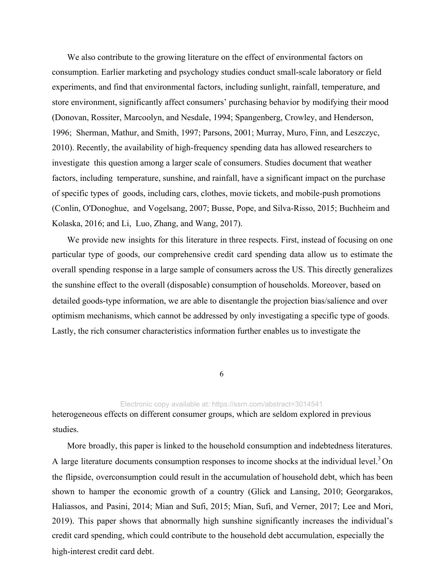We also contribute to the growing literature on the effect of environmental factors on consumption. Earlier marketing and psychology studies conduct small-scale laboratory or field experiments, and find that environmental factors, including sunlight, rainfall, temperature, and store environment, significantly affect consumers' purchasing behavior by modifying their mood (Donovan, Rossiter, Marcoolyn, and Nesdale, 1994; Spangenberg, Crowley, and Henderson, 1996; Sherman, Mathur, and Smith, 1997; Parsons, 2001; Murray, Muro, Finn, and Leszczyc, 2010). Recently, the availability of high-frequency spending data has allowed researchers to investigate this question among a larger scale of consumers. Studies document that weather factors, including temperature, sunshine, and rainfall, have a significant impact on the purchase of specific types of goods, including cars, clothes, movie tickets, and mobile-push promotions (Conlin, O'Donoghue, and Vogelsang, 2007; Busse, Pope, and Silva-Risso, 2015; Buchheim and Kolaska, 2016; and Li, Luo, Zhang, and Wang, 2017).

We provide new insights for this literature in three respects. First, instead of focusing on one particular type of goods, our comprehensive credit card spending data allow us to estimate the overall spending response in a large sample of consumers across the US. This directly generalizes the sunshine effect to the overall (disposable) consumption of households. Moreover, based on detailed goods-type information, we are able to disentangle the projection bias/salience and over optimism mechanisms, which cannot be addressed by only investigating a specific type of goods. Lastly, the rich consumer characteristics information further enables us to investigate the

6

#### Electronic copy available at: https://ssrn.com/abstract=3014541

heterogeneous effects on different consumer groups, which are seldom explored in previous studies.

More broadly, this paper is linked to the household consumption and indebtedness literatures. A large literature documents consumption responses to income shocks at the individual level.<sup>3</sup> On the flipside, overconsumption could result in the accumulation of household debt, which has been shown to hamper the economic growth of a country (Glick and Lansing, 2010; Georgarakos, Haliassos, and Pasini, 2014; Mian and Sufi, 2015; Mian, Sufi, and Verner, 2017; Lee and Mori, 2019). This paper shows that abnormally high sunshine significantly increases the individual's credit card spending, which could contribute to the household debt accumulation, especially the high-interest credit card debt.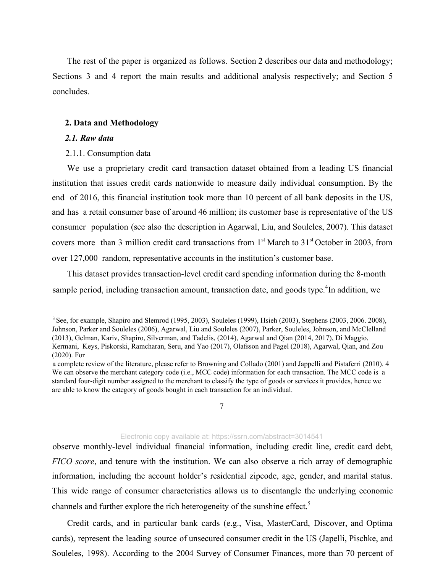The rest of the paper is organized as follows. Section 2 describes our data and methodology; Sections 3 and 4 report the main results and additional analysis respectively; and Section 5 concludes.

## **2. Data and Methodology**

## *2.1. Raw data*

## 2.1.1. Consumption data

We use a proprietary credit card transaction dataset obtained from a leading US financial institution that issues credit cards nationwide to measure daily individual consumption. By the end of 2016, this financial institution took more than 10 percent of all bank deposits in the US, and has a retail consumer base of around 46 million; its customer base is representative of the US consumer population (see also the description in Agarwal, Liu, and Souleles, 2007). This dataset covers more than 3 million credit card transactions from  $1<sup>st</sup>$  March to  $31<sup>st</sup>$  October in 2003, from over 127,000 random, representative accounts in the institution's customer base.

This dataset provides transaction-level credit card spending information during the 8-month sample period, including transaction amount, transaction date, and goods type.<sup>4</sup>In addition, we

7

### Electronic copy available at: https://ssrn.com/abstract=3014541

observe monthly-level individual financial information, including credit line, credit card debt, *FICO score*, and tenure with the institution. We can also observe a rich array of demographic information, including the account holder's residential zipcode, age, gender, and marital status. This wide range of consumer characteristics allows us to disentangle the underlying economic channels and further explore the rich heterogeneity of the sunshine effect.<sup>5</sup>

Credit cards, and in particular bank cards (e.g., Visa, MasterCard, Discover, and Optima cards), represent the leading source of unsecured consumer credit in the US (Japelli, Pischke, and Souleles, 1998). According to the 2004 Survey of Consumer Finances, more than 70 percent of

<sup>&</sup>lt;sup>3</sup> See, for example, Shapiro and Slemrod (1995, 2003), Souleles (1999), Hsieh (2003), Stephens (2003, 2006. 2008), Johnson, Parker and Souleles (2006), Agarwal, Liu and Souleles (2007), Parker, Souleles, Johnson, and McClelland (2013), Gelman, Kariv, Shapiro, Silverman, and Tadelis, (2014), Agarwal and Qian (2014, 2017), Di Maggio, Kermani, Keys, Piskorski, Ramcharan, Seru, and Yao (2017), Olafsson and Pagel (2018), Agarwal, Qian, and Zou (2020). For

a complete review of the literature, please refer to Browning and Collado (2001) and Jappelli and Pistaferri (2010). 4 We can observe the merchant category code (i.e., MCC code) information for each transaction. The MCC code is a standard four-digit number assigned to the merchant to classify the type of goods or services it provides, hence we are able to know the category of goods bought in each transaction for an individual.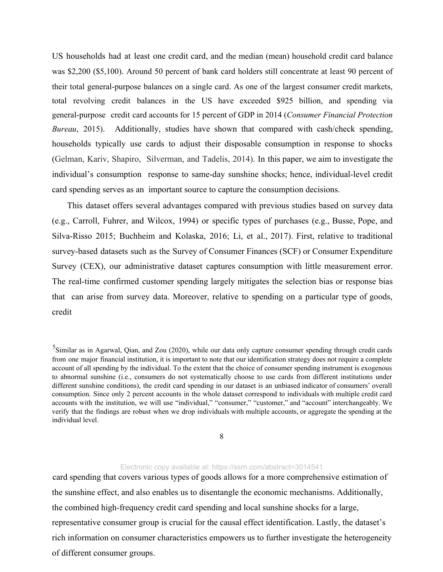US households had at least one credit card, and the median (mean) household credit card balance was \$2,200 (\$5,100). Around 50 percent of bank card holders still concentrate at least 90 percent of their total general-purpose balances on a single card. As one of the largest consumer credit markets, total revolving credit balances in the US have exceeded \$925 billion, and spending via general-purpose credit card accounts for 15 percent of GDP in 2014 (*Consumer Financial Protection Bureau*, 2015). Additionally, studies have shown that compared with cash/check spending, households typically use cards to adjust their disposable consumption in response to shocks (Gelman, Kariv, Shapiro, Silverman, and Tadelis, 2014). In this paper, we aim to investigate the individual's consumption response to same-day sunshine shocks; hence, individual-level credit card spending serves as an important source to capture the consumption decisions.

This dataset offers several advantages compared with previous studies based on survey data (e.g., Carroll, Fuhrer, and Wilcox, 1994) or specific types of purchases (e.g., Busse, Pope, and Silva-Risso 2015; Buchheim and Kolaska, 2016; Li, et al., 2017). First, relative to traditional survey-based datasets such as the Survey of Consumer Finances (SCF) or Consumer Expenditure Survey (CEX), our administrative dataset captures consumption with little measurement error. The real-time confirmed customer spending largely mitigates the selection bias or response bias that can arise from survey data. Moreover, relative to spending on a particular type of goods, credit

8

## Electronic copy available at: https://ssrn.com/abstract=3014541

card spending that covers various types of goods allows for a more comprehensive estimation of the sunshine effect, and also enables us to disentangle the economic mechanisms. Additionally, the combined high-frequency credit card spending and local sunshine shocks for a large, representative consumer group is crucial for the causal effect identification. Lastly, the dataset's rich information on consumer characteristics empowers us to further investigate the heterogeneity of different consumer groups.

<sup>5</sup>Similar as in Agarwal, Qian, and Zou (2020), while our data only capture consumer spending through credit cards from one major financial institution, it is important to note that our identification strategy does not require a complete account of all spending by the individual. To the extent that the choice of consumer spending instrument is exogenous to abnormal sunshine (i.e., consumers do not systematically choose to use cards from different institutions under different sunshine conditions), the credit card spending in our dataset is an unbiased indicator of consumers' overall consumption. Since only 2 percent accounts in the whole dataset correspond to individuals with multiple credit card accounts with the institution, we will use "individual," "consumer," "customer," and "account" interchangeably. We verify that the findings are robust when we drop individuals with multiple accounts, or aggregate the spending at the individual level.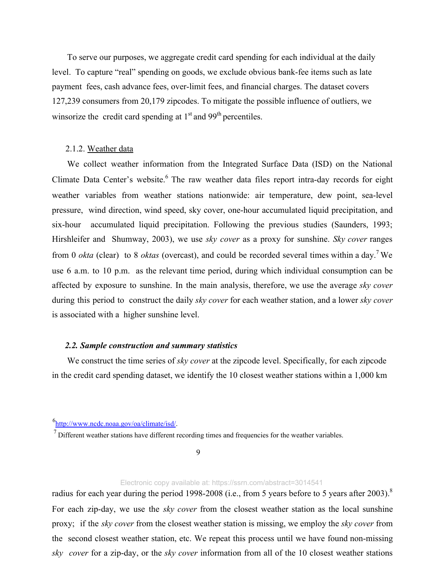To serve our purposes, we aggregate credit card spending for each individual at the daily level. To capture "real" spending on goods, we exclude obvious bank-fee items such as late payment fees, cash advance fees, over-limit fees, and financial charges. The dataset covers 127,239 consumers from 20,179 zipcodes. To mitigate the possible influence of outliers, we winsorize the credit card spending at  $1<sup>st</sup>$  and 99<sup>th</sup> percentiles.

## 2.1.2. Weather data

We collect weather information from the Integrated Surface Data (ISD) on the National Climate Data Center's website.<sup>6</sup> The raw weather data files report intra-day records for eight weather variables from weather stations nationwide: air temperature, dew point, sea-level pressure, wind direction, wind speed, sky cover, one-hour accumulated liquid precipitation, and six-hour accumulated liquid precipitation. Following the previous studies (Saunders, 1993; Hirshleifer and Shumway, 2003), we use *sky cover* as a proxy for sunshine. *Sky cover* ranges from 0 *okta* (clear) to 8 *oktas* (overcast), and could be recorded several times within a day.<sup>7</sup> We use 6 a.m. to 10 p.m. as the relevant time period, during which individual consumption can be affected by exposure to sunshine. In the main analysis, therefore, we use the average *sky cover* during this period to construct the daily *sky cover* for each weather station, and a lower *sky cover* is associated with a higher sunshine level.

## *2.2. Sample construction and summary statistics*

We construct the time series of *sky cover* at the zipcode level. Specifically, for each zipcode in the credit card spending dataset, we identify the 10 closest weather stations within a 1,000 km

9

## Electronic copy available at: https://ssrn.com/abstract=3014541

radius for each year during the period 1998-2008 (i.e., from 5 years before to 5 years after 2003).<sup>8</sup> For each zip-day, we use the *sky cover* from the closest weather station as the local sunshine proxy; if the *sky cover* from the closest weather station is missing, we employ the *sky cover* from the second closest weather station, etc. We repeat this process until we have found non-missing *sky cover* for a zip-day, or the *sky cover* information from all of the 10 closest weather stations

<sup>&</sup>lt;sup>6</sup>http://www.ncdc.noaa.gov/oa/climate/isd/.

<sup>7</sup> Different weather stations have different recording times and frequencies for the weather variables.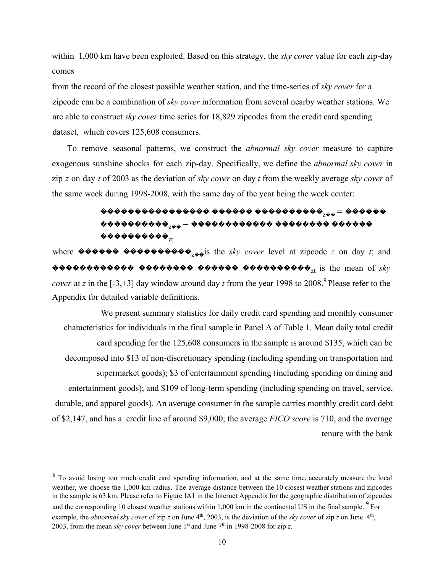within 1,000 km have been exploited. Based on this strategy, the *sky cover* value for each zip-day comes

from the record of the closest possible weather station, and the time-series of sky cover for a zipcode can be a combination of sky cover information from several nearby weather stations. We are able to construct sky cover time series for 18,829 zipcodes from the credit card spending dataset, which covers 125,608 consumers.

To remove seasonal patterns, we construct the *abnormal sky cover* measure to capture exogenous sunshine shocks for each zip-day. Specifically, we define the *abnormal sky cover* in zip z on day  $t$  of 2003 as the deviation of sky cover on day  $t$  from the weekly average sky cover of the same week during 1998-2008, with the same day of the year being the week center:

## $\bullet\hspace{-0.08cm}\bullet\hspace{-0.08cm}\bullet\hspace{-0.08cm}\bullet\hspace{-0.08cm}\bullet\hspace{-0.08cm}\bullet\hspace{-0.08cm}\bullet\hspace{-0.08cm}\bullet\hspace{-0.08cm}\bullet\hspace{-0.08cm}\bullet\hspace{-0.08cm}\bullet\hspace{-0.08cm}\bullet\hspace{-0.08cm}\bullet\hspace{-0.08cm}\bullet$

*cover* at z in the [-3,+3] day window around day t from the year 1998 to 2008.<sup>9</sup> Please refer to the Appendix for detailed variable definitions.

We present summary statistics for daily credit card spending and monthly consumer characteristics for individuals in the final sample in Panel A of Table 1. Mean daily total credit card spending for the 125,608 consumers in the sample is around \$135, which can be decomposed into \$13 of non-discretionary spending (including spending on transportation and supermarket goods); \$3 of entertainment spending (including spending on dining and entertainment goods); and \$109 of long-term spending (including spending on travel, service, durable, and apparel goods). An average consumer in the sample carries monthly credit card debt of \$2,147, and has a credit line of around \$9,000; the average *FICO score* is 710, and the average tenure with the bank

<sup>&</sup>lt;sup>8</sup> To avoid losing too much credit card spending information, and at the same time, accurately measure the local weather, we choose the 1,000 km radius. The average distance between the 10 closest weather stations and zipcodes in the sample is 63 km. Please refer to Figure IA1 in the Internet Appendix for the geographic distribution of zipcodes and the corresponding 10 closest weather stations within 1,000 km in the continental US in the final sample. <sup>9</sup> For example, the *abnormal sky cover* of zip z on June  $4<sup>th</sup>$ , 2003, is the deviation of the *sky cover* of zip z on June  $4<sup>th</sup>$ , 2003, from the mean sky cover between June 1<sup>st</sup> and June 7<sup>th</sup> in 1998-2008 for zip z.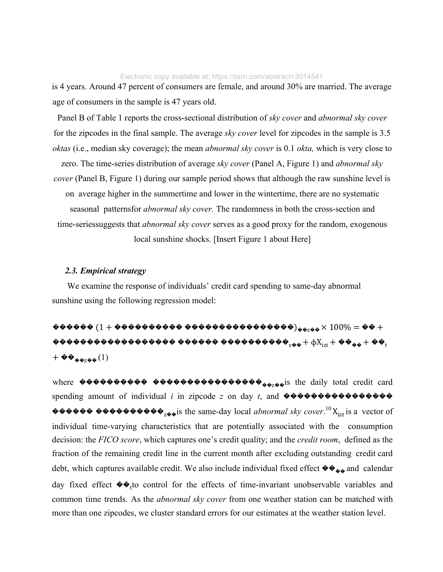#### Electronic copy available at: https://ssrn.com/abstract=3014541

is 4 years. Around 47 percent of consumers are female, and around 30% are married. The average age of consumers in the sample is 47 years old.

Panel B of Table 1 reports the cross-sectional distribution of sky cover and abnormal sky cover for the zipcodes in the final sample. The average sky cover level for zipcodes in the sample is 3.5 *oktas* (i.e., median sky coverage); the mean *abnormal sky cover* is 0.1 *okta*, which is very close to

zero. The time-series distribution of average sky cover (Panel A, Figure 1) and *abnormal sky cover* (Panel B, Figure 1) during our sample period shows that although the raw sunshine level is on average higher in the summertime and lower in the wintertime, there are no systematic seasonal patternsfor *abnormal sky cover*. The randomness in both the cross-section and time-seriessuggests that *abnormal sky cover* serves as a good proxy for the random, exogenous local sunshine shocks. [Insert Figure 1 about Here]

## 2.3. Empirical strategy

We examine the response of individuals' credit card spending to same-day abnormal sunshine using the following regression model:

 $\ddot{\phi}\phi\phi\phi\phi\phi(1+\dot{\phi}\phi\dot{\phi}\phi\dot{\phi}\phi\dot{\phi}\phi\dot{\phi}\phi\dot{\phi}\phi\dot{\phi}\phi\dot{\phi}\phi\dot{\phi}\phi\dot{\phi}\phi\dot{\phi}\phi\dot{\phi})_{\phi\phi\gamma\phi\phi}\times100\% = \dot{\phi}\dot{\phi} +$  $\bullet\hspace{-0.4mm}$  +  $\bullet\hspace{-0.4mm}$  +  $\bullet\hspace{-0.4mm}$   $\bullet\hspace{-0.4mm}$   $\bullet\hspace{-0.4mm}$   $\bullet\hspace{-0.4mm}$   $\bullet\hspace{-0.4mm}$   $\bullet\hspace{-0.4mm}$   $\bullet\hspace{-0.4mm}$   $\bullet\hspace{-0.4mm}$   $\bullet\hspace{-0.4mm}$   $\bullet\hspace{-0.4mm}$   $\bullet\hspace{-0.4mm}$   $\bullet\hspace{-0.4mm}$   $\bullet\hspace{-0.4mm}$   $\bullet\hspace{ + \otimes \otimes_{\mathbf{a} \otimes \mathbf{a} \otimes \mathbf{a}} (1)$ 

where  $\bullet\bullet\bullet\bullet\bullet\bullet\bullet\bullet\bullet\bullet$   $\bullet\bullet\bullet\bullet\bullet\bullet\bullet\bullet\bullet\bullet\bullet\bullet\bullet\bullet\bullet\bullet\bullet\bullet$  is the daily total credit card  $\bullet\bullet\bullet\bullet\bullet\bullet\bullet\bullet\bullet\bullet\bullet\bullet\bullet\bullet_{z\bullet\bullet}$  is the same-day local *abnormal sky cover*.<sup>10</sup> X<sub>izt</sub> is a vector of individual time-varying characteristics that are potentially associated with the consumption decision: the FICO score, which captures one's credit quality; and the *credit room*, defined as the fraction of the remaining credit line in the current month after excluding outstanding credit card debt, which captures available credit. We also include individual fixed effect  $\otimes \otimes_{\otimes \otimes}$  and calendar day fixed effect  $\otimes \otimes_{r}$  to control for the effects of time-invariant unobservable variables and common time trends. As the *abnormal sky cover* from one weather station can be matched with more than one zipcodes, we cluster standard errors for our estimates at the weather station level.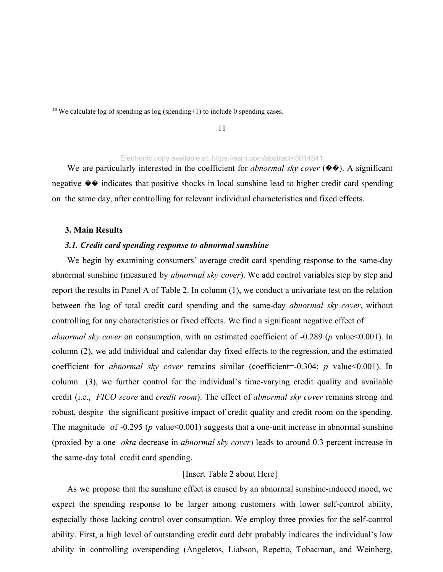<sup>10</sup> We calculate log of spending as log (spending+1) to include 0 spending cases.

11

Electronic copy available at: https://ssrn.com/abstract=3014541

We are particularly interested in the coefficient for *abnormal sky cover* ( $\circ \bullet$ ). A significant negative �� indicates that positive shocks in local sunshine lead to higher credit card spending on the same day, after controlling for relevant individual characteristics and fixed effects.

## **3. Main Results**

## *3.1. Credit card spending response to abnormal sunshine*

We begin by examining consumers' average credit card spending response to the same-day abnormal sunshine (measured by *abnormal sky cover*). We add control variables step by step and report the results in Panel A of Table 2. In column (1), we conduct a univariate test on the relation between the log of total credit card spending and the same-day *abnormal sky cover*, without controlling for any characteristics or fixed effects. We find a significant negative effect of *abnormal sky cover* on consumption, with an estimated coefficient of -0.289 (*p* value<0.001). In column (2), we add individual and calendar day fixed effects to the regression, and the estimated coefficient for *abnormal sky cover* remains similar (coefficient=-0.304; *p* value<0.001). In column (3), we further control for the individual's time-varying credit quality and available credit (i.e., *FICO score* and *credit room*). The effect of *abnormal sky cover* remains strong and robust, despite the significant positive impact of credit quality and credit room on the spending. The magnitude of  $-0.295$  ( $p$  value $\leq 0.001$ ) suggests that a one-unit increase in abnormal sunshine (proxied by a one *okta* decrease in *abnormal sky cover*) leads to around 0.3 percent increase in the same-day total credit card spending.

## [Insert Table 2 about Here]

As we propose that the sunshine effect is caused by an abnormal sunshine-induced mood, we expect the spending response to be larger among customers with lower self-control ability, especially those lacking control over consumption. We employ three proxies for the self-control ability. First, a high level of outstanding credit card debt probably indicates the individual's low ability in controlling overspending (Angeletos, Liabson, Repetto, Tobacman, and Weinberg,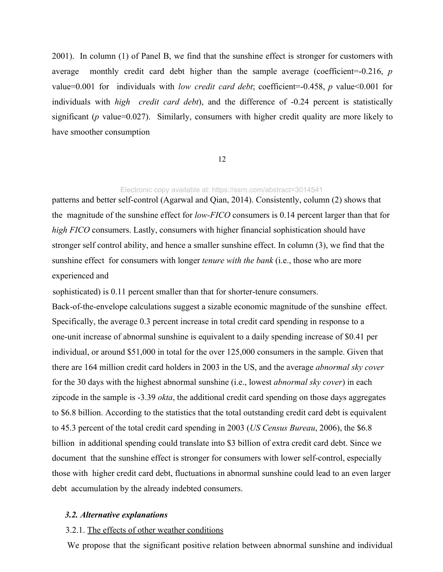2001). In column (1) of Panel B, we find that the sunshine effect is stronger for customers with average monthly credit card debt higher than the sample average (coefficient=-0.216, *p* value=0.001 for individuals with *low credit card debt*; coefficient=-0.458, *p* value<0.001 for individuals with *high credit card debt*), and the difference of -0.24 percent is statistically significant (*p* value=0.027). Similarly, consumers with higher credit quality are more likely to have smoother consumption

## 12

#### Electronic copy available at: https://ssrn.com/abstract=3014541

patterns and better self-control (Agarwal and Qian, 2014). Consistently, column (2) shows that the magnitude of the sunshine effect for *low-FICO* consumers is 0.14 percent larger than that for *high FICO* consumers. Lastly, consumers with higher financial sophistication should have stronger self control ability, and hence a smaller sunshine effect. In column (3), we find that the sunshine effect for consumers with longer *tenure with the bank* (i.e., those who are more experienced and

sophisticated) is 0.11 percent smaller than that for shorter-tenure consumers.

Back-of-the-envelope calculations suggest a sizable economic magnitude of the sunshine effect. Specifically, the average 0.3 percent increase in total credit card spending in response to a one-unit increase of abnormal sunshine is equivalent to a daily spending increase of \$0.41 per individual, or around \$51,000 in total for the over 125,000 consumers in the sample. Given that there are 164 million credit card holders in 2003 in the US, and the average *abnormal sky cover* for the 30 days with the highest abnormal sunshine (i.e., lowest *abnormal sky cover*) in each zipcode in the sample is -3.39 *okta*, the additional credit card spending on those days aggregates to \$6.8 billion. According to the statistics that the total outstanding credit card debt is equivalent to 45.3 percent of the total credit card spending in 2003 (*US Census Bureau*, 2006), the \$6.8 billion in additional spending could translate into \$3 billion of extra credit card debt. Since we document that the sunshine effect is stronger for consumers with lower self-control, especially those with higher credit card debt, fluctuations in abnormal sunshine could lead to an even larger debt accumulation by the already indebted consumers.

### *3.2. Alternative explanations*

## 3.2.1. The effects of other weather conditions

We propose that the significant positive relation between abnormal sunshine and individual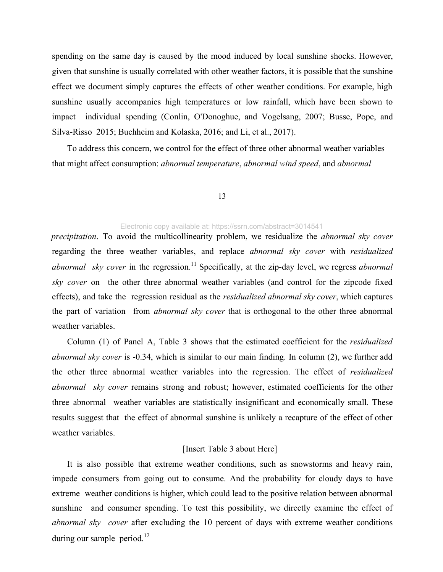spending on the same day is caused by the mood induced by local sunshine shocks. However, given that sunshine is usually correlated with other weather factors, it is possible that the sunshine effect we document simply captures the effects of other weather conditions. For example, high sunshine usually accompanies high temperatures or low rainfall, which have been shown to impact individual spending (Conlin, O'Donoghue, and Vogelsang, 2007; Busse, Pope, and Silva-Risso 2015; Buchheim and Kolaska, 2016; and Li, et al., 2017).

To address this concern, we control for the effect of three other abnormal weather variables that might affect consumption: *abnormal temperature*, *abnormal wind speed*, and *abnormal*

13

## Electronic copy available at: https://ssrn.com/abstract=3014541

*precipitation*. To avoid the multicollinearity problem, we residualize the *abnormal sky cover* regarding the three weather variables, and replace *abnormal sky cover* with *residualized abnormal sky cover* in the regression.<sup>11</sup> Specifically, at the zip-day level, we regress *abnormal sky cover* on the other three abnormal weather variables (and control for the zipcode fixed effects), and take the regression residual as the *residualized abnormal sky cover*, which captures the part of variation from *abnormal sky cover* that is orthogonal to the other three abnormal weather variables.

Column (1) of Panel A, Table 3 shows that the estimated coefficient for the *residualized abnormal sky cover* is -0.34, which is similar to our main finding. In column (2), we further add the other three abnormal weather variables into the regression. The effect of *residualized abnormal sky cover* remains strong and robust; however, estimated coefficients for the other three abnormal weather variables are statistically insignificant and economically small. These results suggest that the effect of abnormal sunshine is unlikely a recapture of the effect of other weather variables.

## [Insert Table 3 about Here]

It is also possible that extreme weather conditions, such as snowstorms and heavy rain, impede consumers from going out to consume. And the probability for cloudy days to have extreme weather conditions is higher, which could lead to the positive relation between abnormal sunshine and consumer spending. To test this possibility, we directly examine the effect of *abnormal sky cover* after excluding the 10 percent of days with extreme weather conditions during our sample period. $^{12}$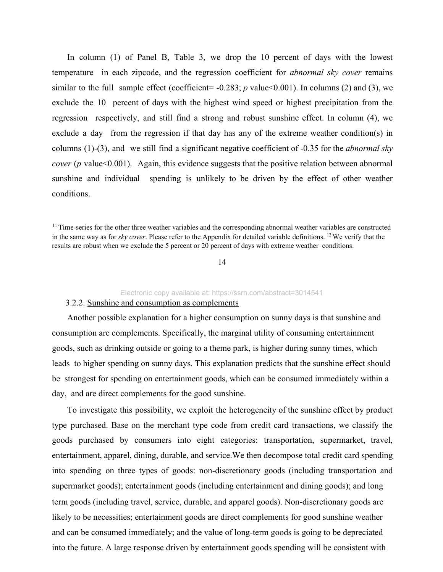In column (1) of Panel B, Table 3, we drop the 10 percent of days with the lowest temperature in each zipcode, and the regression coefficient for *abnormal sky cover* remains similar to the full sample effect (coefficient =  $-0.283$ ; *p* value < 0.001). In columns (2) and (3), we exclude the 10 percent of days with the highest wind speed or highest precipitation from the regression respectively, and still find a strong and robust sunshine effect. In column (4), we exclude a day from the regression if that day has any of the extreme weather condition(s) in columns (1)-(3), and we still find a significant negative coefficient of -0.35 for the *abnormal sky cover* (*p* value<0.001). Again, this evidence suggests that the positive relation between abnormal sunshine and individual spending is unlikely to be driven by the effect of other weather conditions.

14

#### Electronic copy available at: https://ssrn.com/abstract=3014541

## 3.2.2. Sunshine and consumption as complements

Another possible explanation for a higher consumption on sunny days is that sunshine and consumption are complements. Specifically, the marginal utility of consuming entertainment goods, such as drinking outside or going to a theme park, is higher during sunny times, which leads to higher spending on sunny days. This explanation predicts that the sunshine effect should be strongest for spending on entertainment goods, which can be consumed immediately within a day, and are direct complements for the good sunshine.

To investigate this possibility, we exploit the heterogeneity of the sunshine effect by product type purchased. Base on the merchant type code from credit card transactions, we classify the goods purchased by consumers into eight categories: transportation, supermarket, travel, entertainment, apparel, dining, durable, and service.We then decompose total credit card spending into spending on three types of goods: non-discretionary goods (including transportation and supermarket goods); entertainment goods (including entertainment and dining goods); and long term goods (including travel, service, durable, and apparel goods). Non-discretionary goods are likely to be necessities; entertainment goods are direct complements for good sunshine weather and can be consumed immediately; and the value of long-term goods is going to be depreciated into the future. A large response driven by entertainment goods spending will be consistent with

 $11$  Time-series for the other three weather variables and the corresponding abnormal weather variables are constructed in the same way as for *sky cover*. Please refer to the Appendix for detailed variable definitions. <sup>12</sup> We verify that the results are robust when we exclude the 5 percent or 20 percent of days with extreme weather conditions.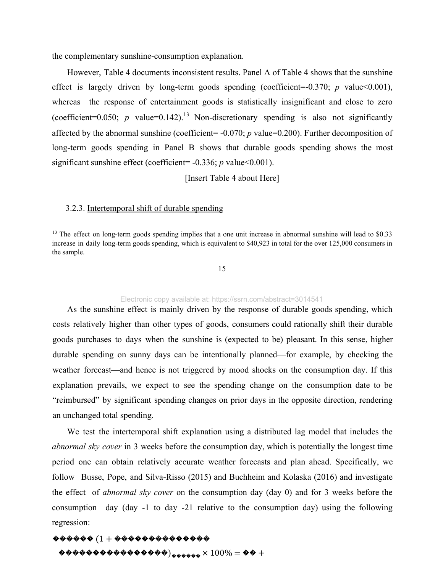the complementary sunshine-consumption explanation.

However, Table 4 documents inconsistent results. Panel A of Table 4 shows that the sunshine effect is largely driven by long-term goods spending (coefficient= $-0.370$ ; *p* value< $0.001$ ), whereas the response of entertainment goods is statistically insignificant and close to zero (coefficient=0.050; *p* value=0.142).<sup>13</sup> Non-discretionary spending is also not significantly affected by the abnormal sunshine (coefficient= -0.070; *p* value=0.200). Further decomposition of long-term goods spending in Panel B shows that durable goods spending shows the most significant sunshine effect (coefficient= -0.336; *p* value<0.001).

[Insert Table 4 about Here]

## 3.2.3. Intertemporal shift of durable spending

<sup>13</sup> The effect on long-term goods spending implies that a one unit increase in abnormal sunshine will lead to \$0.33 increase in daily long-term goods spending, which is equivalent to \$40,923 in total for the over 125,000 consumers in the sample.

15

#### Electronic copy available at: https://ssrn.com/abstract=3014541

As the sunshine effect is mainly driven by the response of durable goods spending, which costs relatively higher than other types of goods, consumers could rationally shift their durable goods purchases to days when the sunshine is (expected to be) pleasant. In this sense, higher durable spending on sunny days can be intentionally planned—for example, by checking the weather forecast—and hence is not triggered by mood shocks on the consumption day. If this explanation prevails, we expect to see the spending change on the consumption date to be "reimbursed" by significant spending changes on prior days in the opposite direction, rendering an unchanged total spending.

We test the intertemporal shift explanation using a distributed lag model that includes the *abnormal sky cover* in 3 weeks before the consumption day, which is potentially the longest time period one can obtain relatively accurate weather forecasts and plan ahead. Specifically, we follow Busse, Pope, and Silva-Risso (2015) and Buchheim and Kolaska (2016) and investigate the effect of *abnormal sky cover* on the consumption day (day 0) and for 3 weeks before the consumption day (day -1 to day -21 relative to the consumption day) using the following regression:

 $\bullet\bullet\bullet\bullet\bullet$  (1 +  $\bullet\bullet\bullet\bullet\bullet\bullet\bullet\bullet\bullet\bullet\bullet\bullet\bullet\bullet$ ����������������)������ × 100% = �� +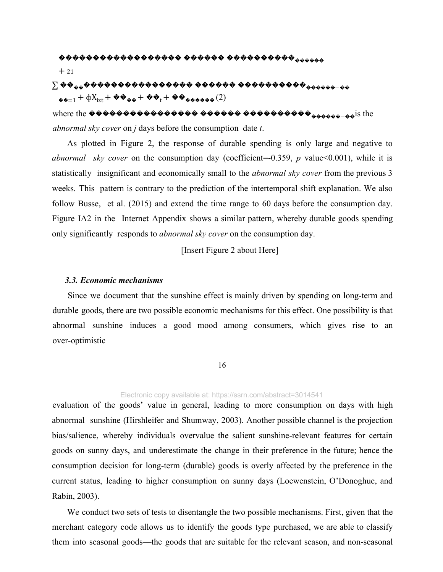## $+21$  $\ddot{\bullet} \ddot{\bullet} = 1 + \dot{\phi} X_{\text{izt}} + \dot{\phi} \dot{\phi}_{\dot{\phi}\dot{\phi}} + \dot{\phi} \dot{\phi}_{\dot{\phi}} + \dot{\phi} \dot{\phi}_{\dot{\phi}\dot{\phi}\dot{\phi}\dot{\phi}}(2)$

*abnormal sky cover* on *j* days before the consumption date *t*.

As plotted in Figure 2, the response of durable spending is only large and negative to *abnormal sky cover* on the consumption day (coefficient=-0.359, p value<0.001), while it is statistically insignificant and economically small to the *abnormal sky cover* from the previous 3 weeks. This pattern is contrary to the prediction of the intertemporal shift explanation. We also follow Busse, et al. (2015) and extend the time range to 60 days before the consumption day. Figure IA2 in the Internet Appendix shows a similar pattern, whereby durable goods spending only significantly responds to *abnormal sky cover* on the consumption day.

## [Insert Figure 2 about Here]

## 3.3. Economic mechanisms

Since we document that the sunshine effect is mainly driven by spending on long-term and durable goods, there are two possible economic mechanisms for this effect. One possibility is that abnormal sunshine induces a good mood among consumers, which gives rise to an over-optimistic

16

## Electronic copy available at: https://ssrn.com/abstract=3014541

evaluation of the goods' value in general, leading to more consumption on days with high abnormal sunshine (Hirshleifer and Shumway, 2003). Another possible channel is the projection bias/salience, whereby individuals overvalue the salient sunshine-relevant features for certain goods on sunny days, and underestimate the change in their preference in the future; hence the consumption decision for long-term (durable) goods is overly affected by the preference in the current status, leading to higher consumption on sunny days (Loewenstein, O'Donoghue, and Rabin, 2003).

We conduct two sets of tests to disentangle the two possible mechanisms. First, given that the merchant category code allows us to identify the goods type purchased, we are able to classify them into seasonal goods—the goods that are suitable for the relevant season, and non-seasonal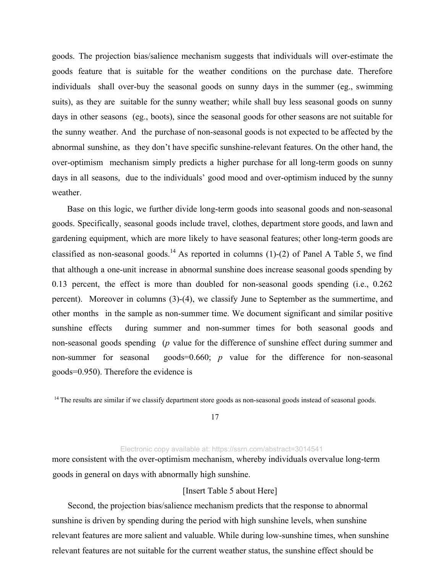goods. The projection bias/salience mechanism suggests that individuals will over-estimate the goods feature that is suitable for the weather conditions on the purchase date. Therefore individuals shall over-buy the seasonal goods on sunny days in the summer (eg., swimming suits), as they are suitable for the sunny weather; while shall buy less seasonal goods on sunny days in other seasons (eg., boots), since the seasonal goods for other seasons are not suitable for the sunny weather. And the purchase of non-seasonal goods is not expected to be affected by the abnormal sunshine, as they don't have specific sunshine-relevant features. On the other hand, the over-optimism mechanism simply predicts a higher purchase for all long-term goods on sunny days in all seasons, due to the individuals' good mood and over-optimism induced by the sunny weather.

Base on this logic, we further divide long-term goods into seasonal goods and non-seasonal goods. Specifically, seasonal goods include travel, clothes, department store goods, and lawn and gardening equipment, which are more likely to have seasonal features; other long-term goods are classified as non-seasonal goods.<sup>14</sup> As reported in columns (1)-(2) of Panel A Table 5, we find that although a one-unit increase in abnormal sunshine does increase seasonal goods spending by 0.13 percent, the effect is more than doubled for non-seasonal goods spending (i.e., 0.262 percent). Moreover in columns (3)-(4), we classify June to September as the summertime, and other months in the sample as non-summer time. We document significant and similar positive sunshine effects during summer and non-summer times for both seasonal goods and non-seasonal goods spending (*p* value for the difference of sunshine effect during summer and non-summer for seasonal goods=0.660; *p* value for the difference for non-seasonal goods=0.950). Therefore the evidence is

<sup>14</sup> The results are similar if we classify department store goods as non-seasonal goods instead of seasonal goods.

17

Electronic copy available at: https://ssrn.com/abstract=3014541

more consistent with the over-optimism mechanism, whereby individuals overvalue long-term goods in general on days with abnormally high sunshine.

## [Insert Table 5 about Here]

Second, the projection bias/salience mechanism predicts that the response to abnormal sunshine is driven by spending during the period with high sunshine levels, when sunshine relevant features are more salient and valuable. While during low-sunshine times, when sunshine relevant features are not suitable for the current weather status, the sunshine effect should be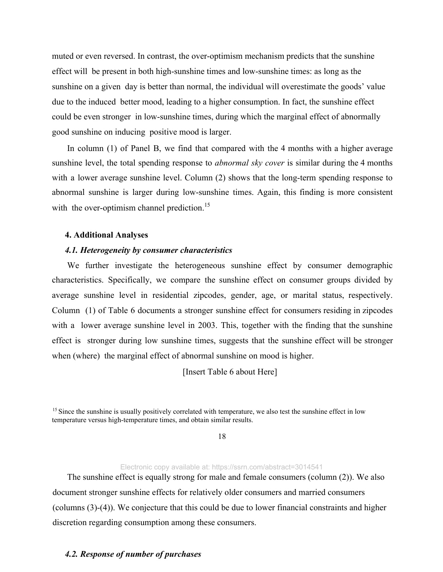muted or even reversed. In contrast, the over-optimism mechanism predicts that the sunshine effect will be present in both high-sunshine times and low-sunshine times: as long as the sunshine on a given day is better than normal, the individual will overestimate the goods' value due to the induced better mood, leading to a higher consumption. In fact, the sunshine effect could be even stronger in low-sunshine times, during which the marginal effect of abnormally good sunshine on inducing positive mood is larger.

In column (1) of Panel B, we find that compared with the 4 months with a higher average sunshine level, the total spending response to *abnormal sky cover* is similar during the 4 months with a lower average sunshine level. Column (2) shows that the long-term spending response to abnormal sunshine is larger during low-sunshine times. Again, this finding is more consistent with the over-optimism channel prediction.<sup>15</sup>

## **4. Additional Analyses**

## *4.1. Heterogeneity by consumer characteristics*

We further investigate the heterogeneous sunshine effect by consumer demographic characteristics. Specifically, we compare the sunshine effect on consumer groups divided by average sunshine level in residential zipcodes, gender, age, or marital status, respectively. Column (1) of Table 6 documents a stronger sunshine effect for consumers residing in zipcodes with a lower average sunshine level in 2003. This, together with the finding that the sunshine effect is stronger during low sunshine times, suggests that the sunshine effect will be stronger when (where) the marginal effect of abnormal sunshine on mood is higher.

[Insert Table 6 about Here]

18

Electronic copy available at: https://ssrn.com/abstract=3014541

The sunshine effect is equally strong for male and female consumers (column (2)). We also document stronger sunshine effects for relatively older consumers and married consumers (columns (3)-(4)). We conjecture that this could be due to lower financial constraints and higher discretion regarding consumption among these consumers.

## *4.2. Response of number of purchases*

<sup>&</sup>lt;sup>15</sup> Since the sunshine is usually positively correlated with temperature, we also test the sunshine effect in low temperature versus high-temperature times, and obtain similar results.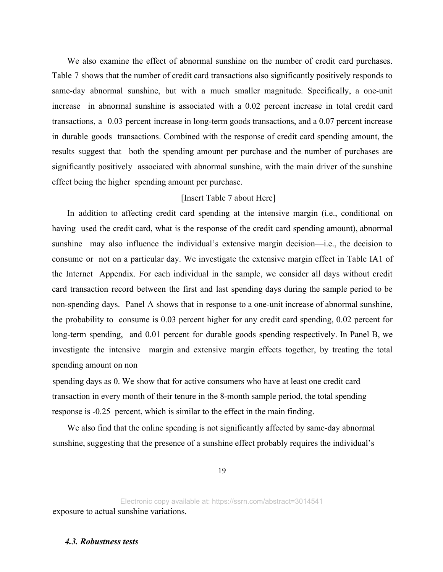We also examine the effect of abnormal sunshine on the number of credit card purchases. Table 7 shows that the number of credit card transactions also significantly positively responds to same-day abnormal sunshine, but with a much smaller magnitude. Specifically, a one-unit increase in abnormal sunshine is associated with a 0.02 percent increase in total credit card transactions, a 0.03 percent increase in long-term goods transactions, and a 0.07 percent increase in durable goods transactions. Combined with the response of credit card spending amount, the results suggest that both the spending amount per purchase and the number of purchases are significantly positively associated with abnormal sunshine, with the main driver of the sunshine effect being the higher spending amount per purchase.

## [Insert Table 7 about Here]

In addition to affecting credit card spending at the intensive margin (i.e., conditional on having used the credit card, what is the response of the credit card spending amount), abnormal sunshine may also influence the individual's extensive margin decision—i.e., the decision to consume or not on a particular day. We investigate the extensive margin effect in Table IA1 of the Internet Appendix. For each individual in the sample, we consider all days without credit card transaction record between the first and last spending days during the sample period to be non-spending days. Panel A shows that in response to a one-unit increase of abnormal sunshine, the probability to consume is 0.03 percent higher for any credit card spending, 0.02 percent for long-term spending, and 0.01 percent for durable goods spending respectively. In Panel B, we investigate the intensive margin and extensive margin effects together, by treating the total spending amount on non

spending days as 0. We show that for active consumers who have at least one credit card transaction in every month of their tenure in the 8-month sample period, the total spending response is -0.25 percent, which is similar to the effect in the main finding.

We also find that the online spending is not significantly affected by same-day abnormal sunshine, suggesting that the presence of a sunshine effect probably requires the individual's

19

Electronic copy available at: https://ssrn.com/abstract=3014541 exposure to actual sunshine variations.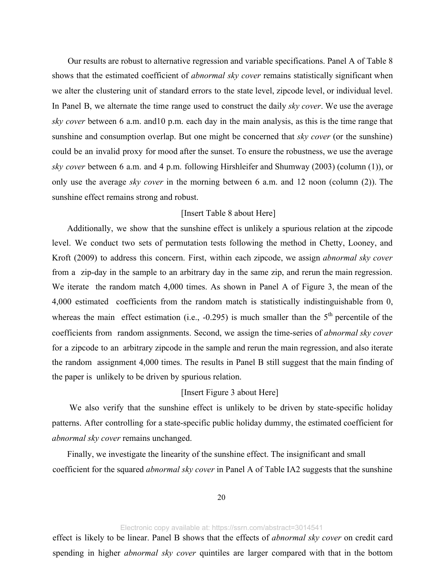Our results are robust to alternative regression and variable specifications. Panel A of Table 8 shows that the estimated coefficient of *abnormal sky cover* remains statistically significant when we alter the clustering unit of standard errors to the state level, zipcode level, or individual level. In Panel B, we alternate the time range used to construct the daily *sky cover*. We use the average *sky cover* between 6 a.m. and10 p.m. each day in the main analysis, as this is the time range that sunshine and consumption overlap. But one might be concerned that *sky cover* (or the sunshine) could be an invalid proxy for mood after the sunset. To ensure the robustness, we use the average *sky cover* between 6 a.m. and 4 p.m. following Hirshleifer and Shumway (2003) (column (1)), or only use the average *sky cover* in the morning between 6 a.m. and 12 noon (column (2)). The sunshine effect remains strong and robust.

## [Insert Table 8 about Here]

Additionally, we show that the sunshine effect is unlikely a spurious relation at the zipcode level. We conduct two sets of permutation tests following the method in Chetty, Looney, and Kroft (2009) to address this concern. First, within each zipcode, we assign *abnormal sky cover* from a zip-day in the sample to an arbitrary day in the same zip, and rerun the main regression. We iterate the random match 4,000 times. As shown in Panel A of Figure 3, the mean of the 4,000 estimated coefficients from the random match is statistically indistinguishable from 0, whereas the main effect estimation (i.e.,  $-0.295$ ) is much smaller than the  $5<sup>th</sup>$  percentile of the coefficients from random assignments. Second, we assign the time-series of *abnormal sky cover* for a zipcode to an arbitrary zipcode in the sample and rerun the main regression, and also iterate the random assignment 4,000 times. The results in Panel B still suggest that the main finding of the paper is unlikely to be driven by spurious relation.

## [Insert Figure 3 about Here]

We also verify that the sunshine effect is unlikely to be driven by state-specific holiday patterns. After controlling for a state-specific public holiday dummy, the estimated coefficient for *abnormal sky cover* remains unchanged.

Finally, we investigate the linearity of the sunshine effect. The insignificant and small coefficient for the squared *abnormal sky cover* in Panel A of Table IA2 suggests that the sunshine

20

#### Electronic copy available at: https://ssrn.com/abstract=3014541

effect is likely to be linear. Panel B shows that the effects of *abnormal sky cover* on credit card spending in higher *abnormal sky cover* quintiles are larger compared with that in the bottom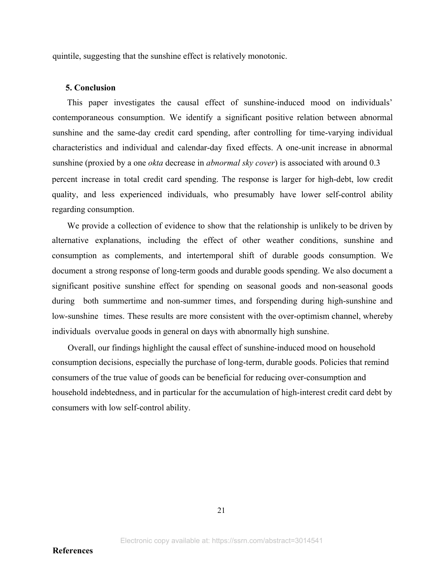quintile, suggesting that the sunshine effect is relatively monotonic.

## **5. Conclusion**

This paper investigates the causal effect of sunshine-induced mood on individuals' contemporaneous consumption. We identify a significant positive relation between abnormal sunshine and the same-day credit card spending, after controlling for time-varying individual characteristics and individual and calendar-day fixed effects. A one-unit increase in abnormal sunshine (proxied by a one *okta* decrease in *abnormal sky cover*) is associated with around 0.3 percent increase in total credit card spending. The response is larger for high-debt, low credit quality, and less experienced individuals, who presumably have lower self-control ability regarding consumption.

We provide a collection of evidence to show that the relationship is unlikely to be driven by alternative explanations, including the effect of other weather conditions, sunshine and consumption as complements, and intertemporal shift of durable goods consumption. We document a strong response of long-term goods and durable goods spending. We also document a significant positive sunshine effect for spending on seasonal goods and non-seasonal goods during both summertime and non-summer times, and forspending during high-sunshine and low-sunshine times. These results are more consistent with the over-optimism channel, whereby individuals overvalue goods in general on days with abnormally high sunshine.

Overall, our findings highlight the causal effect of sunshine-induced mood on household consumption decisions, especially the purchase of long-term, durable goods. Policies that remind consumers of the true value of goods can be beneficial for reducing over-consumption and household indebtedness, and in particular for the accumulation of high-interest credit card debt by consumers with low self-control ability.

21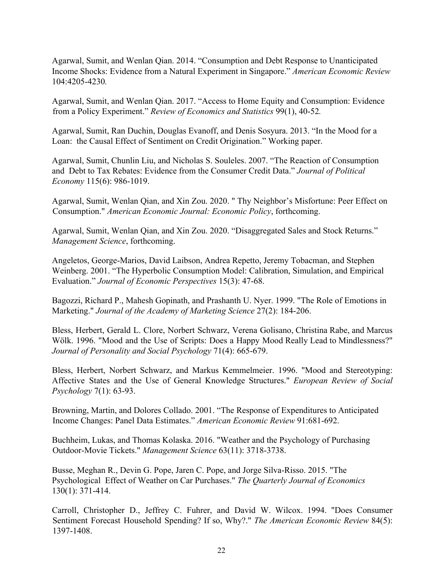Agarwal, Sumit, and Wenlan Qian. 2014. "Consumption and Debt Response to Unanticipated Income Shocks: Evidence from a Natural Experiment in Singapore." *American Economic Review* 104:4205-4230*.*

Agarwal, Sumit, and Wenlan Qian. 2017. "Access to Home Equity and Consumption: Evidence from a Policy Experiment." *Review of Economics and Statistics* 99(1), 40-52*.*

Agarwal, Sumit, Ran Duchin, Douglas Evanoff, and Denis Sosyura. 2013. "In the Mood for a Loan: the Causal Effect of Sentiment on Credit Origination." Working paper.

Agarwal, Sumit, Chunlin Liu, and Nicholas S. Souleles. 2007. "The Reaction of Consumption and Debt to Tax Rebates: Evidence from the Consumer Credit Data." *Journal of Political Economy* 115(6): 986-1019.

Agarwal, Sumit, Wenlan Qian, and Xin Zou. 2020. " Thy Neighbor's Misfortune: Peer Effect on Consumption." *American Economic Journal: Economic Policy*, forthcoming.

Agarwal, Sumit, Wenlan Qian, and Xin Zou. 2020. "Disaggregated Sales and Stock Returns." *Management Science*, forthcoming.

Angeletos, George-Marios, David Laibson, Andrea Repetto, Jeremy Tobacman, and Stephen Weinberg. 2001. "The Hyperbolic Consumption Model: Calibration, Simulation, and Empirical Evaluation." *Journal of Economic Perspectives* 15(3): 47-68.

Bagozzi, Richard P., Mahesh Gopinath, and Prashanth U. Nyer. 1999. "The Role of Emotions in Marketing." *Journal of the Academy of Marketing Science* 27(2): 184-206.

Bless, Herbert, Gerald L. Clore, Norbert Schwarz, Verena Golisano, Christina Rabe, and Marcus Wölk. 1996. "Mood and the Use of Scripts: Does a Happy Mood Really Lead to Mindlessness?" *Journal of Personality and Social Psychology* 71(4): 665-679.

Bless, Herbert, Norbert Schwarz, and Markus Kemmelmeier. 1996. "Mood and Stereotyping: Affective States and the Use of General Knowledge Structures." *European Review of Social Psychology* 7(1): 63-93.

Browning, Martin, and Dolores Collado. 2001. "The Response of Expenditures to Anticipated Income Changes: Panel Data Estimates." *American Economic Review* 91:681-692.

Buchheim, Lukas, and Thomas Kolaska. 2016. "Weather and the Psychology of Purchasing Outdoor-Movie Tickets." *Management Science* 63(11): 3718-3738.

Busse, Meghan R., Devin G. Pope, Jaren C. Pope, and Jorge Silva-Risso. 2015. "The Psychological Effect of Weather on Car Purchases." *The Quarterly Journal of Economics* 130(1): 371-414.

Carroll, Christopher D., Jeffrey C. Fuhrer, and David W. Wilcox. 1994. "Does Consumer Sentiment Forecast Household Spending? If so, Why?." *The American Economic Review* 84(5): 1397-1408.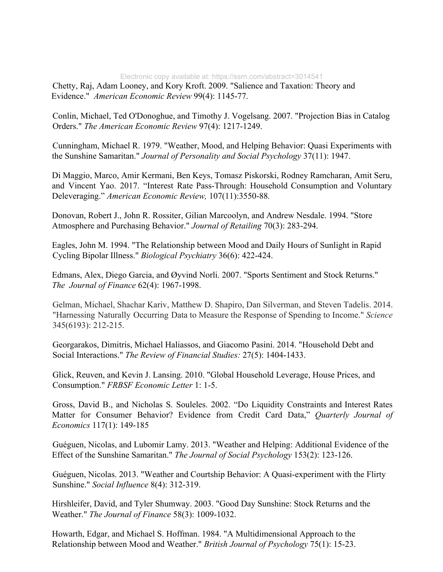## Electronic copy available at: https://ssrn.com/abstract=3014541

Chetty, Raj, Adam Looney, and Kory Kroft. 2009. "Salience and Taxation: Theory and Evidence." *American Economic Review* 99(4): 1145-77.

Conlin, Michael, Ted O'Donoghue, and Timothy J. Vogelsang. 2007. "Projection Bias in Catalog Orders." *The American Economic Review* 97(4): 1217-1249.

Cunningham, Michael R. 1979. "Weather, Mood, and Helping Behavior: Quasi Experiments with the Sunshine Samaritan." *Journal of Personality and Social Psychology* 37(11): 1947.

Di Maggio, Marco, Amir Kermani, Ben Keys, Tomasz Piskorski, Rodney Ramcharan, Amit Seru, and Vincent Yao. 2017. "Interest Rate Pass-Through: Household Consumption and Voluntary Deleveraging." *American Economic Review,* 107(11):3550-88*.*

Donovan, Robert J., John R. Rossiter, Gilian Marcoolyn, and Andrew Nesdale. 1994. "Store Atmosphere and Purchasing Behavior." *Journal of Retailing* 70(3): 283-294.

Eagles, John M. 1994. "The Relationship between Mood and Daily Hours of Sunlight in Rapid Cycling Bipolar Illness." *Biological Psychiatry* 36(6): 422-424.

Edmans, Alex, Diego Garcia, and Øyvind Norli. 2007. "Sports Sentiment and Stock Returns." *The Journal of Finance* 62(4): 1967-1998.

Gelman, Michael, Shachar Kariv, Matthew D. Shapiro, Dan Silverman, and Steven Tadelis. 2014. "Harnessing Naturally Occurring Data to Measure the Response of Spending to Income." *Science* 345(6193): 212-215.

Georgarakos, Dimitris, Michael Haliassos, and Giacomo Pasini. 2014. "Household Debt and Social Interactions." *The Review of Financial Studies:* 27(5): 1404-1433.

Glick, Reuven, and Kevin J. Lansing. 2010. "Global Household Leverage, House Prices, and Consumption." *FRBSF Economic Letter* 1: 1-5.

Gross, David B., and Nicholas S. Souleles. 2002. "Do Liquidity Constraints and Interest Rates Matter for Consumer Behavior? Evidence from Credit Card Data," *Quarterly Journal of Economics* 117(1): 149-185

Guéguen, Nicolas, and Lubomir Lamy. 2013. "Weather and Helping: Additional Evidence of the Effect of the Sunshine Samaritan." *The Journal of Social Psychology* 153(2): 123-126.

Guéguen, Nicolas. 2013. "Weather and Courtship Behavior: A Quasi-experiment with the Flirty Sunshine." *Social Influence* 8(4): 312-319.

Hirshleifer, David, and Tyler Shumway. 2003. "Good Day Sunshine: Stock Returns and the Weather." *The Journal of Finance* 58(3): 1009-1032.

Howarth, Edgar, and Michael S. Hoffman. 1984. "A Multidimensional Approach to the Relationship between Mood and Weather." *British Journal of Psychology* 75(1): 15-23.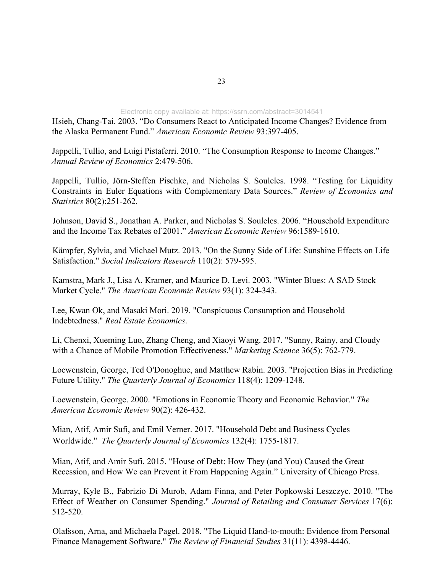### Electronic copy available at: https://ssrn.com/abstract=3014541

Hsieh, Chang-Tai. 2003. "Do Consumers React to Anticipated Income Changes? Evidence from the Alaska Permanent Fund." *American Economic Review* 93:397-405.

Jappelli, Tullio, and Luigi Pistaferri. 2010. "The Consumption Response to Income Changes." *Annual Review of Economics* 2:479-506.

Jappelli, Tullio, Jörn-Steffen Pischke, and Nicholas S. Souleles. 1998. "Testing for Liquidity Constraints in Euler Equations with Complementary Data Sources." *Review of Economics and Statistics* 80(2):251-262.

Johnson, David S., Jonathan A. Parker, and Nicholas S. Souleles. 2006. "Household Expenditure and the Income Tax Rebates of 2001." *American Economic Review* 96:1589-1610.

Kämpfer, Sylvia, and Michael Mutz. 2013. "On the Sunny Side of Life: Sunshine Effects on Life Satisfaction." *Social Indicators Research* 110(2): 579-595.

Kamstra, Mark J., Lisa A. Kramer, and Maurice D. Levi. 2003. "Winter Blues: A SAD Stock Market Cycle." *The American Economic Review* 93(1): 324-343.

Lee, Kwan Ok, and Masaki Mori. 2019. "Conspicuous Consumption and Household Indebtedness." *Real Estate Economics*.

Li, Chenxi, Xueming Luo, Zhang Cheng, and Xiaoyi Wang. 2017. "Sunny, Rainy, and Cloudy with a Chance of Mobile Promotion Effectiveness." *Marketing Science* 36(5): 762-779.

Loewenstein, George, Ted O'Donoghue, and Matthew Rabin. 2003. "Projection Bias in Predicting Future Utility." *The Quarterly Journal of Economics* 118(4): 1209-1248.

Loewenstein, George. 2000. "Emotions in Economic Theory and Economic Behavior." *The American Economic Review* 90(2): 426-432.

Mian, Atif, Amir Sufi, and Emil Verner. 2017. "Household Debt and Business Cycles Worldwide." *The Quarterly Journal of Economics* 132(4): 1755-1817.

Mian, Atif, and Amir Sufi. 2015. "House of Debt: How They (and You) Caused the Great Recession, and How We can Prevent it From Happening Again." University of Chicago Press.

Murray, Kyle B., Fabrizio Di Murob, Adam Finna, and Peter Popkowski Leszczyc. 2010. "The Effect of Weather on Consumer Spending." *Journal of Retailing and Consumer Services* 17(6): 512-520.

Olafsson, Arna, and Michaela Pagel. 2018. "The Liquid Hand-to-mouth: Evidence from Personal Finance Management Software." *The Review of Financial Studies* 31(11): 4398-4446.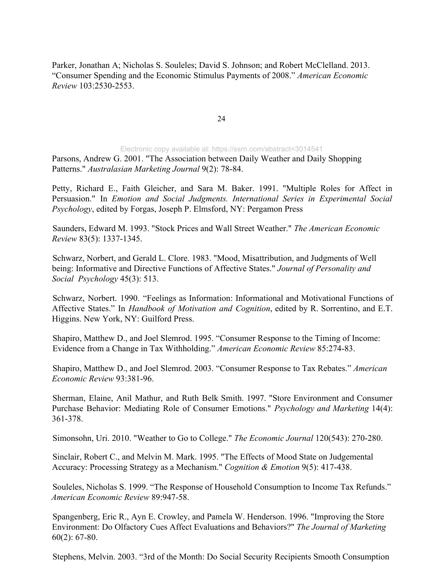Parker, Jonathan A; Nicholas S. Souleles; David S. Johnson; and Robert McClelland. 2013. "Consumer Spending and the Economic Stimulus Payments of 2008." *American Economic Review* 103:2530-2553.

24

## Electronic copy available at: https://ssrn.com/abstract=3014541

Parsons, Andrew G. 2001. "The Association between Daily Weather and Daily Shopping Patterns." *Australasian Marketing Journal* 9(2): 78-84.

Petty, Richard E., Faith Gleicher, and Sara M. Baker. 1991. "Multiple Roles for Affect in Persuasion." In *Emotion and Social Judgments. International Series in Experimental Social Psychology*, edited by Forgas, Joseph P. Elmsford, NY: Pergamon Press

Saunders, Edward M. 1993. "Stock Prices and Wall Street Weather." *The American Economic Review* 83(5): 1337-1345.

Schwarz, Norbert, and Gerald L. Clore. 1983. "Mood, Misattribution, and Judgments of Well being: Informative and Directive Functions of Affective States." *Journal of Personality and Social Psychology* 45(3): 513.

Schwarz, Norbert. 1990. "Feelings as Information: Informational and Motivational Functions of Affective States." In *Handbook of Motivation and Cognition*, edited by R. Sorrentino, and E.T. Higgins. New York, NY: Guilford Press.

Shapiro, Matthew D., and Joel Slemrod. 1995. "Consumer Response to the Timing of Income: Evidence from a Change in Tax Withholding." *American Economic Review* 85:274-83.

Shapiro, Matthew D., and Joel Slemrod. 2003. "Consumer Response to Tax Rebates." *American Economic Review* 93:381-96.

Sherman, Elaine, Anil Mathur, and Ruth Belk Smith. 1997. "Store Environment and Consumer Purchase Behavior: Mediating Role of Consumer Emotions." *Psychology and Marketing* 14(4): 361-378.

Simonsohn, Uri. 2010. "Weather to Go to College." *The Economic Journal* 120(543): 270-280.

Sinclair, Robert C., and Melvin M. Mark. 1995. "The Effects of Mood State on Judgemental Accuracy: Processing Strategy as a Mechanism." *Cognition & Emotion* 9(5): 417-438.

Souleles, Nicholas S. 1999. "The Response of Household Consumption to Income Tax Refunds." *American Economic Review* 89:947-58.

Spangenberg, Eric R., Ayn E. Crowley, and Pamela W. Henderson. 1996. "Improving the Store Environment: Do Olfactory Cues Affect Evaluations and Behaviors?" *The Journal of Marketing* 60(2): 67-80.

Stephens, Melvin. 2003. "3rd of the Month: Do Social Security Recipients Smooth Consumption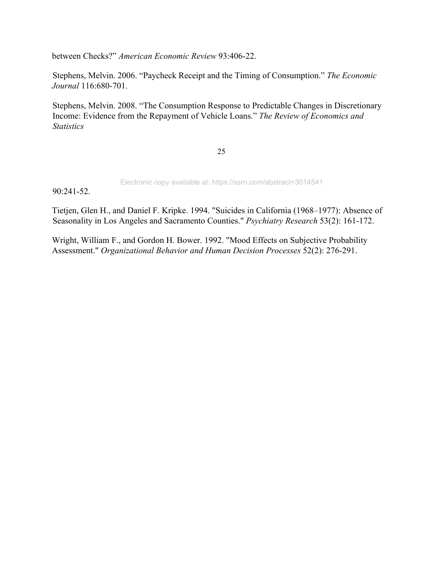between Checks?" *American Economic Review* 93:406-22.

Stephens, Melvin. 2006. "Paycheck Receipt and the Timing of Consumption." *The Economic Journal* 116:680-701.

Stephens, Melvin. 2008. "The Consumption Response to Predictable Changes in Discretionary Income: Evidence from the Repayment of Vehicle Loans." *The Review of Economics and Statistics*

25

Electronic copy available at: https://ssrn.com/abstract=3014541

90:241-52.

Tietjen, Glen H., and Daniel F. Kripke. 1994. "Suicides in California (1968–1977): Absence of Seasonality in Los Angeles and Sacramento Counties." *Psychiatry Research* 53(2): 161-172.

Wright, William F., and Gordon H. Bower. 1992. "Mood Effects on Subjective Probability Assessment." *Organizational Behavior and Human Decision Processes* 52(2): 276-291.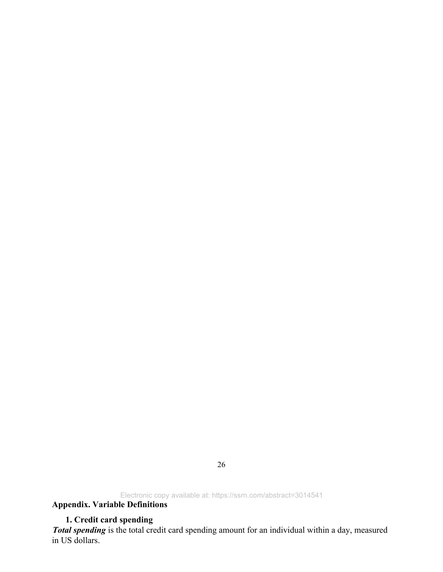26

Electronic copy available at: https://ssrn.com/abstract=3014541

## **Appendix. Variable Definitions**

## **1. Credit card spending**

*Total spending* is the total credit card spending amount for an individual within a day, measured in US dollars.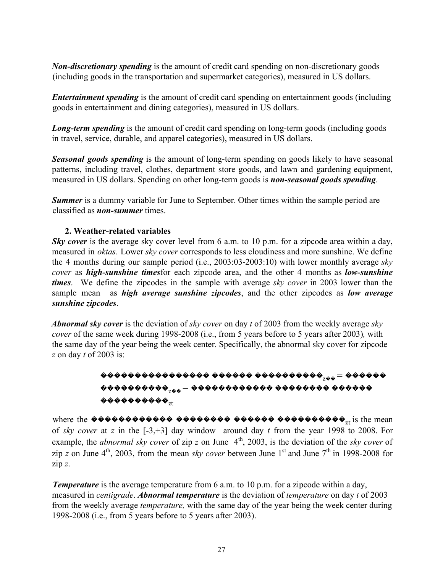**Non-discretionary spending** is the amount of credit card spending on non-discretionary goods (including goods in the transportation and supermarket categories), measured in US dollars.

**Entertainment spending** is the amount of credit card spending on entertainment goods (including goods in entertainment and dining categories), measured in US dollars.

**Long-term spending** is the amount of credit card spending on long-term goods (including goods in travel, service, durable, and apparel categories), measured in US dollars.

**Seasonal goods spending** is the amount of long-term spending on goods likely to have seasonal patterns, including travel, clothes, department store goods, and lawn and gardening equipment, measured in US dollars. Spending on other long-term goods is *non-seasonal goods spending*.

**Summer** is a dummy variable for June to September. Other times within the sample period are classified as *non-summer* times.

## 2. Weather-related variables

Sky cover is the average sky cover level from 6 a.m. to 10 p.m. for a zipcode area within a day, measured in oktas. Lower sky cover corresponds to less cloudiness and more sunshine. We define the 4 months during our sample period (i.e.,  $2003:03-2003:10$ ) with lower monthly average sky cover as high-sunshine timesfor each zipcode area, and the other 4 months as low-sunshine times. We define the zipcodes in the sample with average sky cover in 2003 lower than the sample mean as *high average sunshine zipcodes*, and the other zipcodes as *low average* sunshine zipcodes.

**Abnormal sky cover** is the deviation of sky cover on day t of 2003 from the weekly average sky cover of the same week during 1998-2008 (i.e., from 5 years before to 5 years after 2003), with the same day of the year being the week center. Specifically, the abnormal sky cover for zipcode z on day t of 2003 is:

## $000000000007$

of sky cover at z in the  $[-3, +3]$  day window around day t from the year 1998 to 2008. For example, the *abnormal sky cover* of zip z on June  $4<sup>th</sup>$ , 2003, is the deviation of the *sky cover* of zip z on June  $4^{th}$ , 2003, from the mean sky cover between June 1<sup>st</sup> and June 7<sup>th</sup> in 1998-2008 for  $zip z$ .

**Temperature** is the average temperature from 6 a.m. to 10 p.m. for a zipcode within a day, measured in *centigrade*. **Abnormal temperature** is the deviation of *temperature* on day t of 2003 from the weekly average *temperature*, with the same day of the year being the week center during 1998-2008 (i.e., from 5 years before to 5 years after 2003).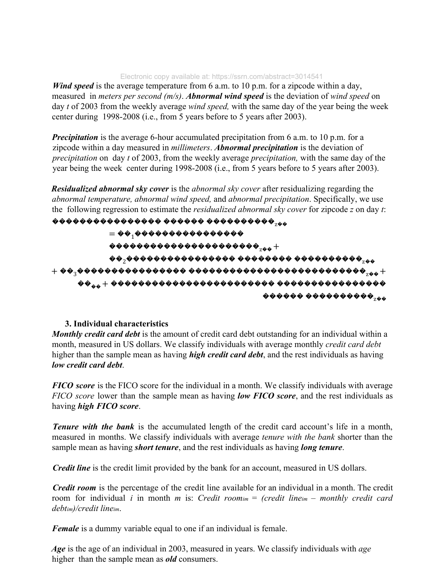#### Electronic copy available at: https://ssrn.com/abstract=3014541

**Wind speed** is the average temperature from 6 a.m. to 10 p.m. for a zipcode within a day, measured in *meters per second (m/s)*. **Abnormal wind speed** is the deviation of wind speed on day t of 2003 from the weekly average *wind speed*, with the same day of the year being the week center during 1998-2008 (i.e., from 5 years before to 5 years after 2003).

**Precipitation** is the average 6-hour accumulated precipitation from 6 a.m. to 10 p.m. for a zipcode within a day measured in *millimeters*. **Abnormal precipitation** is the deviation of *precipitation* on day *t* of 2003, from the weekly average *precipitation*, with the same day of the year being the week center during 1998-2008 (i.e., from 5 years before to 5 years after 2003).

**Residualized abnormal sky cover** is the abnormal sky cover after residualizing regarding the abnormal temperature, abnormal wind speed, and abnormal precipitation. Specifically, we use the following regression to estimate the *residualized abnormal sky cover* for zipcode z on day t:

 $=$  00,0000000000000000  $999999$  00000000000,

## 3. Individual characteristics

**Monthly credit card debt** is the amount of credit card debt outstanding for an individual within a month, measured in US dollars. We classify individuals with average monthly credit card debt higher than the sample mean as having *high credit card debt*, and the rest individuals as having low credit card debt

**FICO** score is the FICO score for the individual in a month. We classify individuals with average FICO score lower than the sample mean as having low FICO score, and the rest individuals as having *high FICO* score.

**Tenure with the bank** is the accumulated length of the credit card account's life in a month, measured in months. We classify individuals with average tenure with the bank shorter than the sample mean as having *short tenure*, and the rest individuals as having *long tenure*.

**Credit line** is the credit limit provided by the bank for an account, measured in US dollars.

**Credit room** is the percentage of the credit line available for an individual in a month. The credit room for individual i in month  $m$  is: Credit room  $m = (credit\ line_{im} - monthly\ credit\ card)$ debtim)/credit lineim.

**Female** is a dummy variable equal to one if an individual is female.

Age is the age of an individual in 2003, measured in years. We classify individuals with age higher than the sample mean as *old* consumers.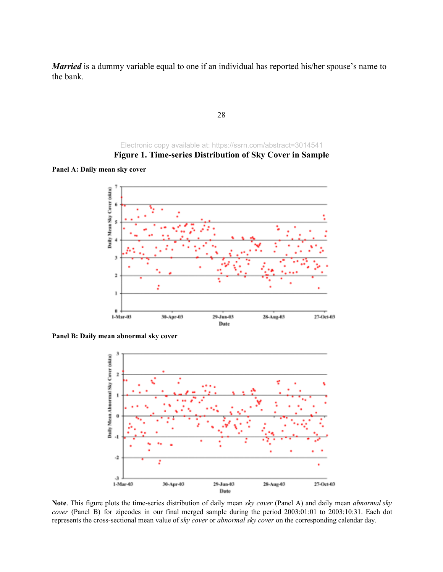*Married* is a dummy variable equal to one if an individual has reported his/her spouse's name to the bank.

#### 28

Electronic copy available at: https://ssrn.com/abstract=3014541 **Figure 1. Time-series Distribution of Sky Cover in Sample**

## **Panel A: Daily mean sky cover**



**Panel B: Daily mean abnormal sky cover**



**Note**. This figure plots the time-series distribution of daily mean *sky cover* (Panel A) and daily mean *abnormal sky cover* (Panel B) for zipcodes in our final merged sample during the period 2003:01:01 to 2003:10:31. Each dot represents the cross-sectional mean value of *sky cover* or *abnormal sky cover* on the corresponding calendar day.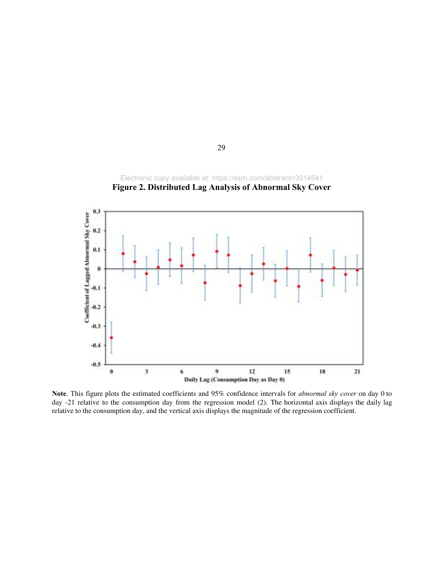

Electronic copy available at: https://ssrn.com/abstract=3014541 **Figure 2. Distributed Lag Analysis of Abnormal Sky Cover**

**Note**. This figure plots the estimated coefficients and 95% confidence intervals for *abnormal sky cover* on day 0 to day -21 relative to the consumption day from the regression model (2). The horizontal axis displays the daily lag relative to the consumption day, and the vertical axis displays the magnitude of the regression coefficient.

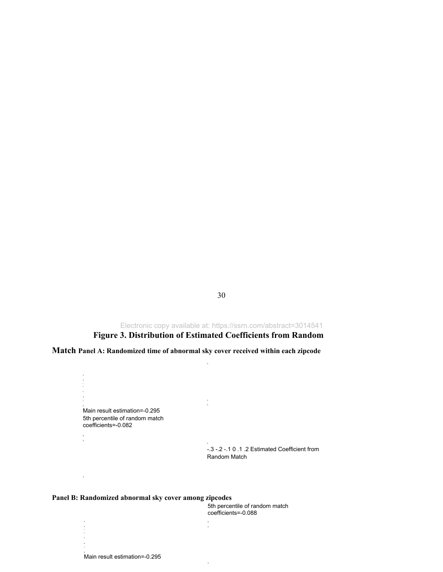Electronic copy available at: https://ssrn.com/abstract=3014541 **Figure 3. Distribution of Estimated Coefficients from Random**

30

**Match Panel A: Randomized time of abnormal sky cover received within each zipcode**



6

4

#### **Panel B: Randomized abnormal sky cover among zipcodes**

5th percentile of random match coefficients=-0.088

4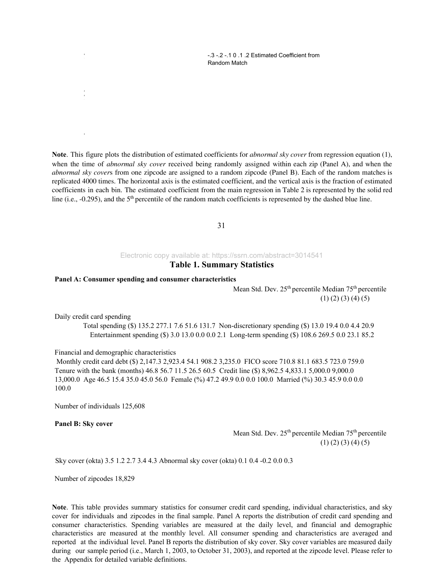-.3 -.2 -.1 0 .1 .2 Estimated Coefficient from Random Match

**Note**. This figure plots the distribution of estimated coefficients for *abnormal sky cover* from regression equation (1), when the time of *abnormal sky cover* received being randomly assigned within each zip (Panel A), and when the *abnormal sky cover*s from one zipcode are assigned to a random zipcode (Panel B). Each of the random matches is replicated 4000 times. The horizontal axis is the estimated coefficient, and the vertical axis is the fraction of estimated coefficients in each bin. The estimated coefficient from the main regression in Table 2 is represented by the solid red line (i.e.,  $-0.295$ ), and the  $5<sup>th</sup>$  percentile of the random match coefficients is represented by the dashed blue line.

31

Electronic copy available at: https://ssrn.com/abstract=3014541

#### **Table 1. Summary Statistics**

#### **Panel A: Consumer spending and consumer characteristics**

Mean Std. Dev. 25<sup>th</sup> percentile Median 75<sup>th</sup> percentile  $(1)$   $(2)$   $(3)$   $(4)$   $(5)$ 

Daily credit card spending

Total spending (\$) 135.2 277.1 7.6 51.6 131.7 Non-discretionary spending (\$) 13.0 19.4 0.0 4.4 20.9 Entertainment spending (\$) 3.0 13.0 0.0 0.0 2.1 Long-term spending (\$) 108.6 269.5 0.0 23.1 85.2

Financial and demographic characteristics

Monthly credit card debt (\$) 2,147.3 2,923.4 54.1 908.2 3,235.0 FICO score 710.8 81.1 683.5 723.0 759.0 Tenure with the bank (months) 46.8 56.7 11.5 26.5 60.5 Credit line (\$) 8,962.5 4,833.1 5,000.0 9,000.0 13,000.0 Age 46.5 15.4 35.0 45.0 56.0 Female (%) 47.2 49.9 0.0 0.0 100.0 Married (%) 30.3 45.9 0.0 0.0 100.0

Number of individuals 125,608

**Panel B: Sky cover**

Mean Std. Dev. 25<sup>th</sup> percentile Median 75<sup>th</sup> percentile  $(1)$   $(2)$   $(3)$   $(4)$   $(5)$ 

Sky cover (okta) 3.5 1.2 2.7 3.4 4.3 Abnormal sky cover (okta) 0.1 0.4 -0.2 0.0 0.3

Number of zipcodes 18,829

**Note**. This table provides summary statistics for consumer credit card spending, individual characteristics, and sky cover for individuals and zipcodes in the final sample. Panel A reports the distribution of credit card spending and consumer characteristics. Spending variables are measured at the daily level, and financial and demographic characteristics are measured at the monthly level. All consumer spending and characteristics are averaged and reported at the individual level. Panel B reports the distribution of sky cover. Sky cover variables are measured daily during our sample period (i.e., March 1, 2003, to October 31, 2003), and reported at the zipcode level. Please refer to the Appendix for detailed variable definitions.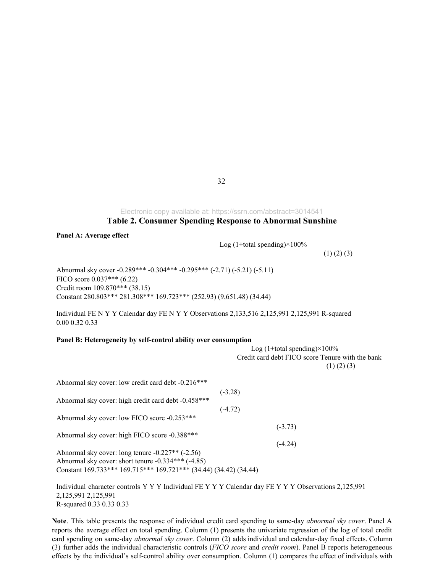Electronic copy available at: https://ssrn.com/abstract=3014541 **Table 2. Consumer Spending Response to Abnormal Sunshine**

#### **Panel A: Average effect**

Log (1+total spending) $\times$ 100%

 $(1)$   $(2)$   $(3)$ 

Abnormal sky cover -0.289\*\*\* -0.304\*\*\* -0.295\*\*\* (-2.71) (-5.21) (-5.11) FICO score 0.037\*\*\* (6.22) Credit room 109.870\*\*\* (38.15) Constant 280.803\*\*\* 281.308\*\*\* 169.723\*\*\* (252.93) (9,651.48) (34.44)

Individual FE N Y Y Calendar day FE N Y Y Observations 2,133,516 2,125,991 2,125,991 R-squared 0.00 0.32 0.33

#### **Panel B: Heterogeneity by self-control ability over consumption**

|                                                                   | Log (1+total spending) $\times$ 100%                                  |  |  |
|-------------------------------------------------------------------|-----------------------------------------------------------------------|--|--|
|                                                                   | Credit card debt FICO score Tenure with the bank<br>$(1)$ $(2)$ $(3)$ |  |  |
| Abnormal sky cover: low credit card debt -0.216***                |                                                                       |  |  |
|                                                                   | $(-3.28)$                                                             |  |  |
| Abnormal sky cover: high credit card debt -0.458***               |                                                                       |  |  |
|                                                                   | $(-4.72)$                                                             |  |  |
| Abnormal sky cover: low FICO score -0.253***                      | $(-3.73)$                                                             |  |  |
| Abnormal sky cover: high FICO score -0.388***                     |                                                                       |  |  |
|                                                                   | $(-4.24)$                                                             |  |  |
| Abnormal sky cover: long tenure $-0.227**$ $(-2.56)$              |                                                                       |  |  |
| Abnormal sky cover: short tenure -0.334*** (-4.85)                |                                                                       |  |  |
| Constant 169.733*** 169.715*** 169.721*** (34.44) (34.42) (34.44) |                                                                       |  |  |

Individual character controls Y Y Y Individual FE Y Y Y Calendar day FE Y Y Y Observations 2,125,991 2,125,991 2,125,991 R-squared 0.33 0.33 0.33

**Note**. This table presents the response of individual credit card spending to same-day *abnormal sky cover*. Panel A reports the average effect on total spending. Column (1) presents the univariate regression of the log of total credit card spending on same-day *abnormal sky cover*. Column (2) adds individual and calendar-day fixed effects. Column (3) further adds the individual characteristic controls (*FICO score* and *credit room*). Panel B reports heterogeneous effects by the individual's self-control ability over consumption. Column (1) compares the effect of individuals with

32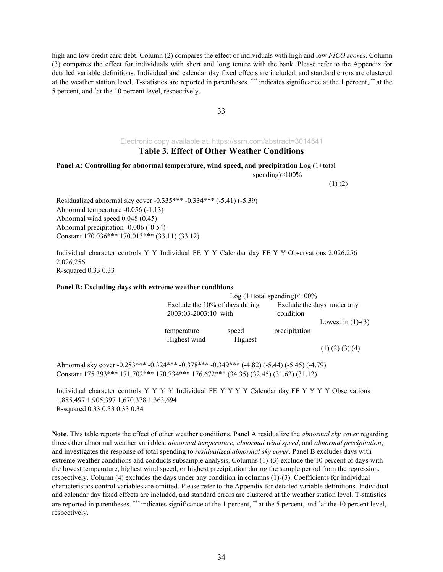high and low credit card debt. Column (2) compares the effect of individuals with high and low *FICO scores*. Column (3) compares the effect for individuals with short and long tenure with the bank. Please refer to the Appendix for detailed variable definitions. Individual and calendar day fixed effects are included, and standard errors are clustered at the weather station level. T-statistics are reported in parentheses. \*\*\* indicates significance at the 1 percent, \*\* at the 5 percent, and \*at the 10 percent level, respectively.

33

#### Electronic copy available at: https://ssrn.com/abstract=3014541 **Table 3. Effect of Other Weather Conditions**

**Panel A: Controlling for abnormal temperature, wind speed, and precipitation** Log (1+total

spending $)\times100\%$ (1) (2)

Residualized abnormal sky cover -0.335\*\*\* -0.334\*\*\* (-5.41) (-5.39) Abnormal temperature -0.056 (-1.13) Abnormal wind speed 0.048 (0.45) Abnormal precipitation -0.006 (-0.54) Constant 170.036\*\*\* 170.013\*\*\* (33.11) (33.12)

Individual character controls Y Y Individual FE Y Y Calendar day FE Y Y Observations 2,026,256 2,026,256 R-squared 0.33 0.33

#### **Panel B: Excluding days with extreme weather conditions**

| Log (1+total spending) $\times$ 100% |         |                            |                         |  |
|--------------------------------------|---------|----------------------------|-------------------------|--|
| Exclude the 10% of days during       |         | Exclude the days under any |                         |  |
| 2003:03-2003:10 with                 |         | condition                  |                         |  |
|                                      |         |                            | Lowest in $(1)-(3)$     |  |
| temperature                          | speed   | precipitation              |                         |  |
| Highest wind                         | Highest |                            |                         |  |
|                                      |         |                            | $(1)$ $(2)$ $(3)$ $(4)$ |  |

Abnormal sky cover -0.283\*\*\* -0.324\*\*\* -0.378\*\*\* -0.349\*\*\* (-4.82) (-5.44) (-5.45) (-4.79) Constant 175.393\*\*\* 171.702\*\*\* 170.734\*\*\* 176.672\*\*\* (34.35) (32.45) (31.62) (31.12)

Individual character controls Y Y Y Y Individual FE Y Y Y Y Calendar day FE Y Y Y Y Observations 1,885,497 1,905,397 1,670,378 1,363,694 R-squared 0.33 0.33 0.33 0.34

**Note**. This table reports the effect of other weather conditions. Panel A residualize the *abnormal sky cover* regarding three other abnormal weather variables: *abnormal temperature, abnormal wind speed*, and *abnormal precipitation*, and investigates the response of total spending to *residualized abnormal sky cover*. Panel B excludes days with extreme weather conditions and conducts subsample analysis. Columns (1)-(3) exclude the 10 percent of days with the lowest temperature, highest wind speed, or highest precipitation during the sample period from the regression, respectively. Column (4) excludes the days under any condition in columns (1)-(3). Coefficients for individual characteristics control variables are omitted. Please refer to the Appendix for detailed variable definitions. Individual and calendar day fixed effects are included, and standard errors are clustered at the weather station level. T-statistics are reported in parentheses. \*\*\* indicates significance at the 1 percent, \*\* at the 5 percent, and \*at the 10 percent level, respectively.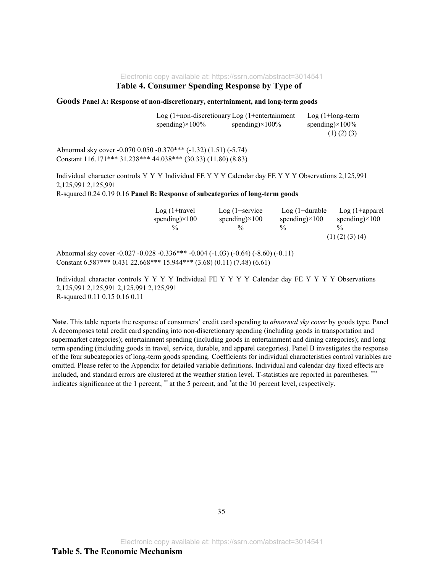Electronic copy available at: https://ssrn.com/abstract=3014541

## **Table 4. Consumer Spending Response by Type of**

#### **Goods Panel A: Response of non-discretionary, entertainment, and long-term goods**

| $Log(1+non-discretionary Log(1+entertainment$<br>$Log(1+long-term$ |
|--------------------------------------------------------------------|
| spending $\times$ 100%<br>spending $\times$ 100%                   |
| $(1)$ $(2)$ $(3)$                                                  |
|                                                                    |

Abnormal sky cover -0.070 0.050 -0.370\*\*\* (-1.32) (1.51) (-5.74) Constant 116.171\*\*\* 31.238\*\*\* 44.038\*\*\* (30.33) (11.80) (8.83)

Individual character controls Y Y Y Individual FE Y Y Y Calendar day FE Y Y Y Observations 2,125,991 2,125,991 2,125,991

R-squared 0.24 0.19 0.16 **Panel B: Response of subcategories of long-term goods**

| $Log(1+travel)$        | $Log(1+service)$      | $Log(1+durable)$       | $Log(1+apparel)$        |
|------------------------|-----------------------|------------------------|-------------------------|
| spending $)\times 100$ | spending $\times$ 100 | spending $)\times 100$ | spending $)\times 100$  |
| $\frac{0}{0}$          | $\frac{0}{0}$         | $\frac{0}{0}$          | $\frac{0}{0}$           |
|                        |                       |                        | $(1)$ $(2)$ $(3)$ $(4)$ |
|                        |                       |                        |                         |

Abnormal sky cover -0.027 -0.028 -0.336\*\*\* -0.004 (-1.03) (-0.64) (-8.60) (-0.11) Constant 6.587\*\*\* 0.431 22.668\*\*\* 15.944\*\*\* (3.68) (0.11) (7.48) (6.61)

Individual character controls Y Y Y Y Individual FE Y Y Y Y Calendar day FE Y Y Y Y Observations 2,125,991 2,125,991 2,125,991 2,125,991 R-squared 0.11 0.15 0.16 0.11

**Note**. This table reports the response of consumers' credit card spending to *abnormal sky cover* by goods type. Panel A decomposes total credit card spending into non-discretionary spending (including goods in transportation and supermarket categories); entertainment spending (including goods in entertainment and dining categories); and long term spending (including goods in travel, service, durable, and apparel categories). Panel B investigates the response of the four subcategories of long-term goods spending. Coefficients for individual characteristics control variables are omitted. Please refer to the Appendix for detailed variable definitions. Individual and calendar day fixed effects are included, and standard errors are clustered at the weather station level. T-statistics are reported in parentheses. \*\*\* indicates significance at the 1 percent, \*\* at the 5 percent, and \*at the 10 percent level, respectively.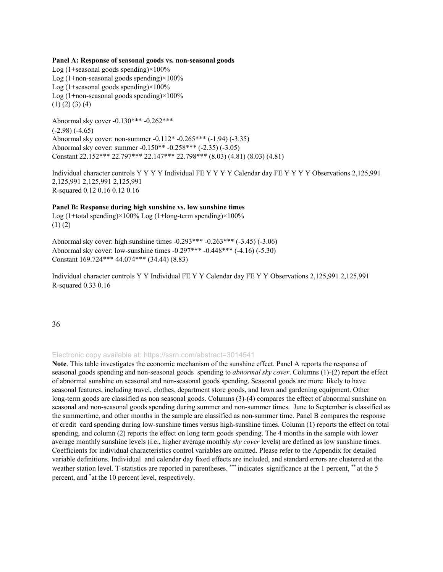#### **Panel A: Response of seasonal goods vs. non-seasonal goods**

Log  $(1+seasonal goods spending)\times100\%$ Log (1+non-seasonal goods spending) $\times$ 100% Log (1+seasonal goods spending)×100% Log (1+non-seasonal goods spending)×100%  $(1)$   $(2)$   $(3)$   $(4)$ 

Abnormal sky cover -0.130\*\*\* -0.262\*\*\*  $(-2.98)$   $(-4.65)$ Abnormal sky cover: non-summer -0.112\* -0.265\*\*\* (-1.94) (-3.35) Abnormal sky cover: summer -0.150\*\* -0.258\*\*\* (-2.35) (-3.05) Constant 22.152\*\*\* 22.797\*\*\* 22.147\*\*\* 22.798\*\*\* (8.03) (4.81) (8.03) (4.81)

Individual character controls Y Y Y Y Individual FE Y Y Y Y Calendar day FE Y Y Y Y Observations 2,125,991 2,125,991 2,125,991 2,125,991 R-squared 0.12 0.16 0.12 0.16

#### **Panel B: Response during high sunshine vs. low sunshine times**

Log (1+total spending) $\times$ 100% Log (1+long-term spending) $\times$ 100%  $(1)$   $(2)$ 

Abnormal sky cover: high sunshine times -0.293\*\*\* -0.263\*\*\* (-3.45) (-3.06) Abnormal sky cover: low-sunshine times -0.297\*\*\* -0.448\*\*\* (-4.16) (-5.30) Constant 169.724\*\*\* 44.074\*\*\* (34.44) (8.83)

Individual character controls Y Y Individual FE Y Y Calendar day FE Y Y Observations 2,125,991 2,125,991 R-squared 0.33 0.16

#### 36

#### Electronic copy available at: https://ssrn.com/abstract=3014541

**Note**. This table investigates the economic mechanism of the sunshine effect. Panel A reports the response of seasonal goods spending and non-seasonal goods spending to *abnormal sky cover*. Columns (1)-(2) report the effect of abnormal sunshine on seasonal and non-seasonal goods spending. Seasonal goods are more likely to have seasonal features, including travel, clothes, department store goods, and lawn and gardening equipment. Other long-term goods are classified as non seasonal goods. Columns (3)-(4) compares the effect of abnormal sunshine on seasonal and non-seasonal goods spending during summer and non-summer times. June to September is classified as the summertime, and other months in the sample are classified as non-summer time. Panel B compares the response of credit card spending during low-sunshine times versus high-sunshine times. Column (1) reports the effect on total spending, and column (2) reports the effect on long term goods spending. The 4 months in the sample with lower average monthly sunshine levels (i.e., higher average monthly *sky cover* levels) are defined as low sunshine times. Coefficients for individual characteristics control variables are omitted. Please refer to the Appendix for detailed variable definitions. Individual and calendar day fixed effects are included, and standard errors are clustered at the weather station level. T-statistics are reported in parentheses. \*\*\* indicates significance at the 1 percent, \*\* at the 5 percent, and \*at the 10 percent level, respectively.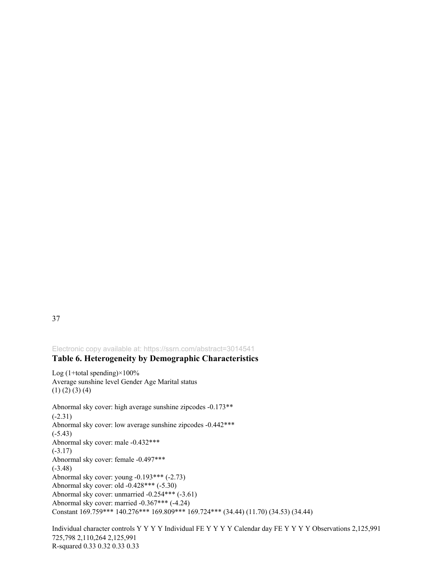37

## Electronic copy available at: https://ssrn.com/abstract=3014541 **Table 6. Heterogeneity by Demographic Characteristics**

Log (1+total spending) $\times$ 100% Average sunshine level Gender Age Marital status  $(1)$   $(2)$   $(3)$   $(4)$ 

Abnormal sky cover: high average sunshine zipcodes -0.173\*\* (-2.31) Abnormal sky cover: low average sunshine zipcodes -0.442\*\*\* (-5.43) Abnormal sky cover: male -0.432\*\*\* (-3.17) Abnormal sky cover: female -0.497\*\*\* (-3.48) Abnormal sky cover: young -0.193\*\*\* (-2.73) Abnormal sky cover: old -0.428\*\*\* (-5.30) Abnormal sky cover: unmarried -0.254\*\*\* (-3.61) Abnormal sky cover: married -0.367\*\*\* (-4.24) Constant 169.759\*\*\* 140.276\*\*\* 169.809\*\*\* 169.724\*\*\* (34.44) (11.70) (34.53) (34.44)

Individual character controls Y Y Y Y Individual FE Y Y Y Y Calendar day FE Y Y Y Y Observations 2,125,991 725,798 2,110,264 2,125,991 R-squared 0.33 0.32 0.33 0.33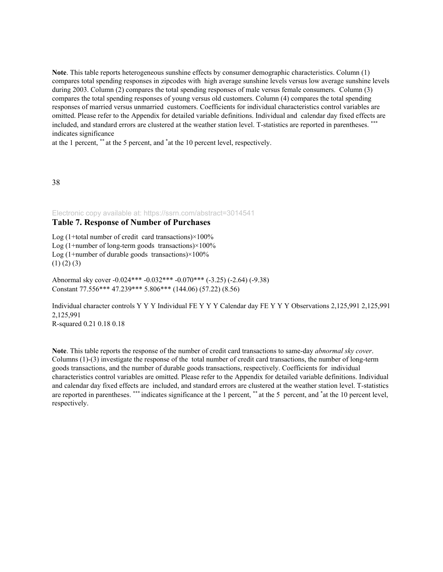**Note**. This table reports heterogeneous sunshine effects by consumer demographic characteristics. Column (1) compares total spending responses in zipcodes with high average sunshine levels versus low average sunshine levels during 2003. Column (2) compares the total spending responses of male versus female consumers. Column (3) compares the total spending responses of young versus old customers. Column (4) compares the total spending responses of married versus unmarried customers. Coefficients for individual characteristics control variables are omitted. Please refer to the Appendix for detailed variable definitions. Individual and calendar day fixed effects are included, and standard errors are clustered at the weather station level. T-statistics are reported in parentheses. \*\*\* indicates significance

at the 1 percent, \*\* at the 5 percent, and \*at the 10 percent level, respectively.

38

Electronic copy available at: https://ssrn.com/abstract=3014541

## **Table 7. Response of Number of Purchases**

Log (1+total number of credit card transactions) $\times$ 100% Log (1+number of long-term goods transactions) $\times$ 100% Log (1+number of durable goods transactions) $\times$ 100%  $(1)$   $(2)$   $(3)$ 

Abnormal sky cover -0.024\*\*\* -0.032\*\*\* -0.070\*\*\* (-3.25) (-2.64) (-9.38) Constant 77.556\*\*\* 47.239\*\*\* 5.806\*\*\* (144.06) (57.22) (8.56)

Individual character controls Y Y Y Individual FE Y Y Y Calendar day FE Y Y Y Observations 2,125,991 2,125,991 2,125,991 R-squared 0.21 0.18 0.18

**Note**. This table reports the response of the number of credit card transactions to same-day *abnormal sky cover*. Columns (1)-(3) investigate the response of the total number of credit card transactions, the number of long-term goods transactions, and the number of durable goods transactions, respectively. Coefficients for individual characteristics control variables are omitted. Please refer to the Appendix for detailed variable definitions. Individual and calendar day fixed effects are included, and standard errors are clustered at the weather station level. T-statistics are reported in parentheses. \*\*\* indicates significance at the 1 percent, \*\* at the 5 percent, and \*at the 10 percent level, respectively.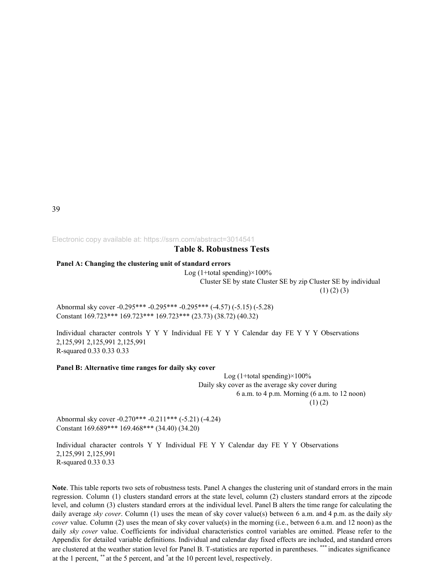39

Electronic copy available at: https://ssrn.com/abstract=3014541

## **Table 8. Robustness Tests**

#### **Panel A: Changing the clustering unit of standard errors**

Log (1+total spending) $\times$ 100%

Cluster SE by state Cluster SE by zip Cluster SE by individual

 $(1)$   $(2)$   $(3)$ 

Abnormal sky cover -0.295\*\*\* -0.295\*\*\* -0.295\*\*\* (-4.57) (-5.15) (-5.28) Constant 169.723\*\*\* 169.723\*\*\* 169.723\*\*\* (23.73) (38.72) (40.32)

Individual character controls Y Y Y Individual FE Y Y Y Calendar day FE Y Y Y Observations 2,125,991 2,125,991 2,125,991 R-squared 0.33 0.33 0.33

#### **Panel B: Alternative time ranges for daily sky cover**

Log (1+total spending) $\times$ 100% Daily sky cover as the average sky cover during 6 a.m. to 4 p.m. Morning (6 a.m. to 12 noon)  $(1) (2)$ 

Abnormal sky cover -0.270\*\*\* -0.211\*\*\* (-5.21) (-4.24) Constant 169.689\*\*\* 169.468\*\*\* (34.40) (34.20)

Individual character controls Y Y Individual FE Y Y Calendar day FE Y Y Observations 2,125,991 2,125,991 R-squared 0.33 0.33

**Note**. This table reports two sets of robustness tests. Panel A changes the clustering unit of standard errors in the main regression. Column (1) clusters standard errors at the state level, column (2) clusters standard errors at the zipcode level, and column (3) clusters standard errors at the individual level. Panel B alters the time range for calculating the daily average *sky cover*. Column (1) uses the mean of sky cover value(s) between 6 a.m. and 4 p.m. as the daily *sky cover* value. Column (2) uses the mean of sky cover value(s) in the morning (i.e., between 6 a.m. and 12 noon) as the daily *sky cover* value. Coefficients for individual characteristics control variables are omitted. Please refer to the Appendix for detailed variable definitions. Individual and calendar day fixed effects are included, and standard errors are clustered at the weather station level for Panel B. T-statistics are reported in parentheses. \*\*\* indicates significance at the 1 percent, \*\* at the 5 percent, and \*at the 10 percent level, respectively.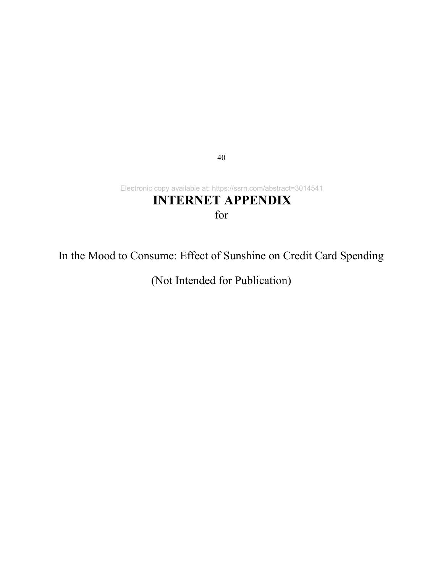Electronic copy available at: https://ssrn.com/abstract=3014541 **INTERNET APPENDIX** for

In the Mood to Consume: Effect of Sunshine on Credit Card Spending

(Not Intended for Publication)

40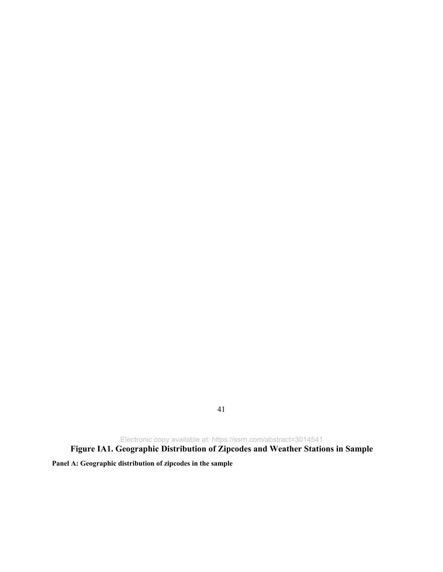41

Electronic copy available at: https://ssrn.com/abstract=3014541

**Figure IA1. Geographic Distribution of Zipcodes and Weather Stations in Sample**

**Panel A: Geographic distribution of zipcodes in the sample**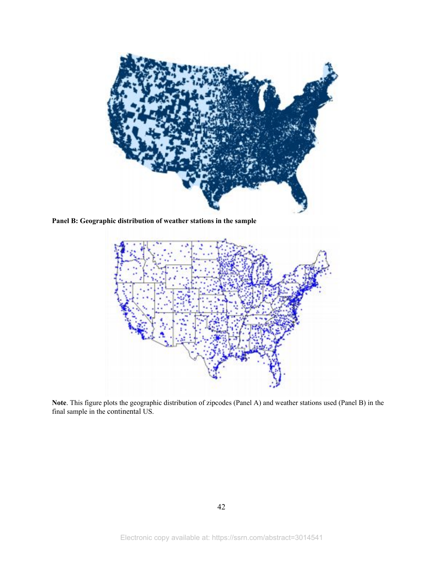

**Panel B: Geographic distribution of weather stations in the sample**



**Note**. This figure plots the geographic distribution of zipcodes (Panel A) and weather stations used (Panel B) in the final sample in the continental US.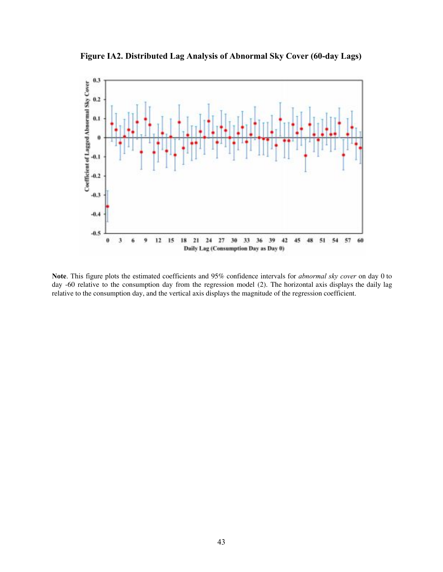



**Note**. This figure plots the estimated coefficients and 95% confidence intervals for *abnormal sky cover* on day 0 to day -60 relative to the consumption day from the regression model (2). The horizontal axis displays the daily lag relative to the consumption day, and the vertical axis displays the magnitude of the regression coefficient.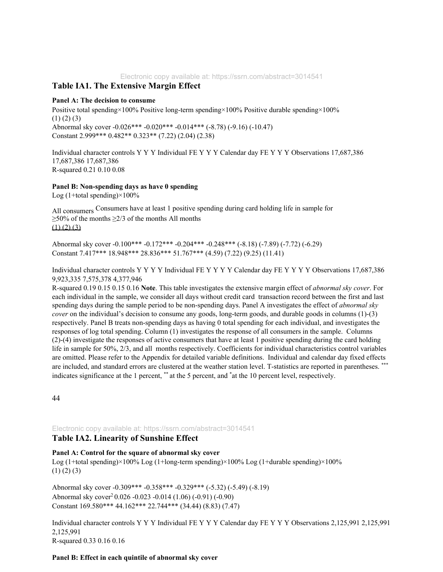Electronic copy available at: https://ssrn.com/abstract=3014541

## **Table IA1. The Extensive Margin Effect**

#### **Panel A: The decision to consume**

Positive total spending×100% Positive long-term spending×100% Positive durable spending×100%  $(1)$   $(2)$   $(3)$ Abnormal sky cover -0.026\*\*\* -0.020\*\*\* -0.014\*\*\* (-8.78) (-9.16) (-10.47) Constant 2.999\*\*\* 0.482\*\* 0.323\*\* (7.22) (2.04) (2.38)

Individual character controls Y Y Y Individual FE Y Y Y Calendar day FE Y Y Y Observations 17,687,386 17,687,386 17,687,386 R-squared 0.21 0.10 0.08

#### **Panel B: Non-spending days as have 0 spending**

Log (1+total spending) $\times$ 100%

All consumers Consumers have at least 1 positive spending during card holding life in sample for  $\geq$ 50% of the months  $\geq$ 2/3 of the months All months  $(1) (2) (3)$ 

Abnormal sky cover -0.100\*\*\* -0.172\*\*\* -0.204\*\*\* -0.248\*\*\* (-8.18) (-7.89) (-7.72) (-6.29) Constant 7.417\*\*\* 18.948\*\*\* 28.836\*\*\* 51.767\*\*\* (4.59) (7.22) (9.25) (11.41)

Individual character controls Y Y Y Y Individual FE Y Y Y Y Calendar day FE Y Y Y Y Observations 17,687,386 9,923,335 7,575,378 4,377,946

R-squared 0.19 0.15 0.15 0.16 **Note**. This table investigates the extensive margin effect of *abnormal sky cover*. For each individual in the sample, we consider all days without credit card transaction record between the first and last spending days during the sample period to be non-spending days. Panel A investigates the effect of *abnormal sky cover* on the individual's decision to consume any goods, long-term goods, and durable goods in columns (1)-(3) respectively. Panel B treats non-spending days as having 0 total spending for each individual, and investigates the responses of log total spending. Column (1) investigates the response of all consumers in the sample. Columns (2)-(4) investigate the responses of active consumers that have at least 1 positive spending during the card holding life in sample for 50%, 2/3, and all months respectively. Coefficients for individual characteristics control variables are omitted. Please refer to the Appendix for detailed variable definitions. Individual and calendar day fixed effects are included, and standard errors are clustered at the weather station level. T-statistics are reported in parentheses. \*\*\* indicates significance at the 1 percent, \*\* at the 5 percent, and \*at the 10 percent level, respectively.

44

Electronic copy available at: https://ssrn.com/abstract=3014541

## **Table IA2. Linearity of Sunshine Effect**

## **Panel A: Control for the square of abnormal sky cover**

Log (1+total spending) $\times$ 100% Log (1+long-term spending) $\times$ 100% Log (1+durable spending) $\times$ 100%  $(1)$   $(2)$   $(3)$ 

Abnormal sky cover -0.309\*\*\* -0.358\*\*\* -0.329\*\*\* (-5.32) (-5.49) (-8.19) Abnormal sky cover <sup>2</sup> 0.026 -0.023 -0.014 (1.06) (-0.91) (-0.90) Constant 169.580\*\*\* 44.162\*\*\* 22.744\*\*\* (34.44) (8.83) (7.47)

Individual character controls Y Y Y Individual FE Y Y Y Calendar day FE Y Y Y Observations 2,125,991 2,125,991 2,125,991 R-squared 0.33 0.16 0.16

#### **Panel B: Effect in each quintile of abnormal sky cover**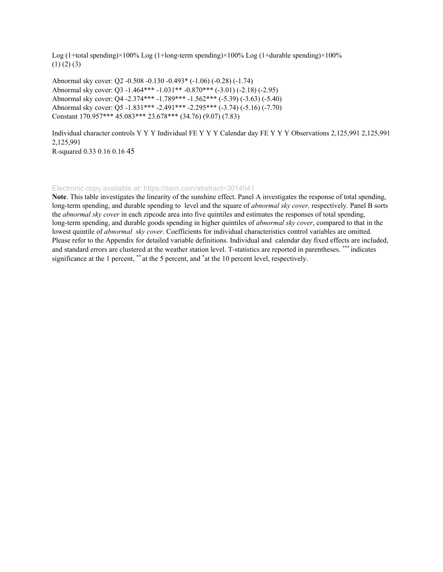Log (1+total spending)×100% Log (1+long-term spending)×100% Log (1+durable spending)×100%  $(1)$   $(2)$   $(3)$ 

Abnormal sky cover: Q2 -0.508 -0.130 -0.493\* (-1.06) (-0.28) (-1.74) Abnormal sky cover: Q3 -1.464\*\*\* -1.031\*\* -0.870\*\*\* (-3.01) (-2.18) (-2.95) Abnormal sky cover: Q4 -2.374\*\*\* -1.789\*\*\* -1.562\*\*\* (-5.39) (-3.63) (-5.40) Abnormal sky cover: Q5 -1.831\*\*\* -2.491\*\*\* -2.295\*\*\* (-3.74) (-5.16) (-7.70) Constant 170.957\*\*\* 45.083\*\*\* 23.678\*\*\* (34.76) (9.07) (7.83)

Individual character controls Y Y Y Individual FE Y Y Y Calendar day FE Y Y Y Observations 2,125,991 2,125,991 2,125,991

R-squared 0.33 0.16 0.16 45

#### Electronic copy available at: https://ssrn.com/abstract=3014541

**Note**. This table investigates the linearity of the sunshine effect. Panel A investigates the response of total spending, long-term spending, and durable spending to level and the square of *abnormal sky cover,* respectively. Panel B sorts the *abnormal sky cover* in each zipcode area into five quintiles and estimates the responses of total spending, long-term spending, and durable goods spending in higher quintiles of *abnormal sky cover*, compared to that in the lowest quintile of *abnormal sky cover*. Coefficients for individual characteristics control variables are omitted. Please refer to the Appendix for detailed variable definitions. Individual and calendar day fixed effects are included, and standard errors are clustered at the weather station level. T-statistics are reported in parentheses. \*\*\* indicates significance at the 1 percent, \*\* at the 5 percent, and \*at the 10 percent level, respectively.